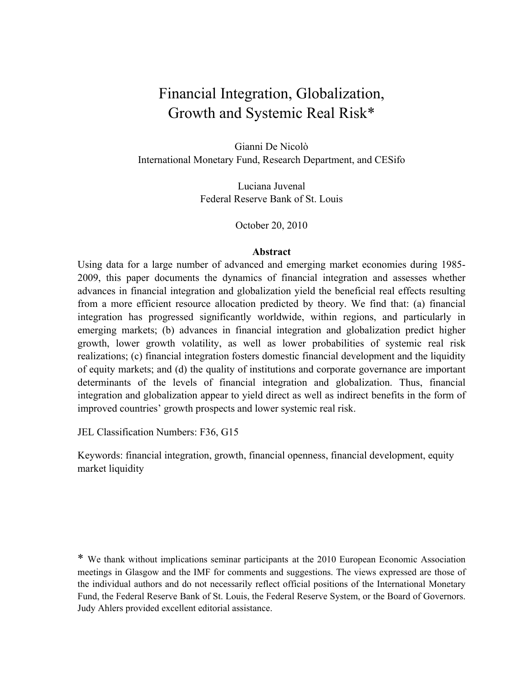# Financial Integration, Globalization, Growth and Systemic Real Risk\*

Gianni De Nicolò International Monetary Fund, Research Department, and CESifo

> Luciana Juvenal Federal Reserve Bank of St. Louis

> > October 20, 2010

# **Abstract**

Using data for a large number of advanced and emerging market economies during 1985- 2009, this paper documents the dynamics of financial integration and assesses whether advances in financial integration and globalization yield the beneficial real effects resulting from a more efficient resource allocation predicted by theory. We find that: (a) financial integration has progressed significantly worldwide, within regions, and particularly in emerging markets; (b) advances in financial integration and globalization predict higher growth, lower growth volatility, as well as lower probabilities of systemic real risk realizations; (c) financial integration fosters domestic financial development and the liquidity of equity markets; and (d) the quality of institutions and corporate governance are important determinants of the levels of financial integration and globalization. Thus, financial integration and globalization appear to yield direct as well as indirect benefits in the form of improved countries' growth prospects and lower systemic real risk.

JEL Classification Numbers: F36, G15

Keywords: financial integration, growth, financial openness, financial development, equity market liquidity

\* We thank without implications seminar participants at the 2010 European Economic Association meetings in Glasgow and the IMF for comments and suggestions. The views expressed are those of the individual authors and do not necessarily reflect official positions of the International Monetary Fund, the Federal Reserve Bank of St. Louis, the Federal Reserve System, or the Board of Governors. Judy Ahlers provided excellent editorial assistance.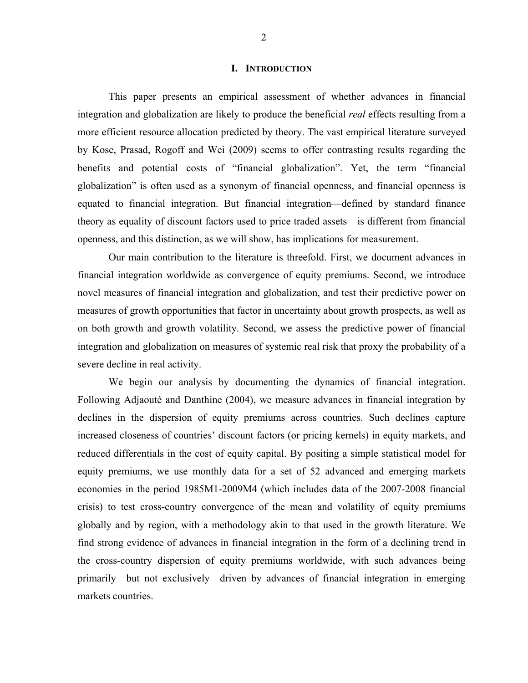## **I. INTRODUCTION**

This paper presents an empirical assessment of whether advances in financial integration and globalization are likely to produce the beneficial *real* effects resulting from a more efficient resource allocation predicted by theory. The vast empirical literature surveyed by Kose, Prasad, Rogoff and Wei (2009) seems to offer contrasting results regarding the benefits and potential costs of "financial globalization". Yet, the term "financial globalization" is often used as a synonym of financial openness, and financial openness is equated to financial integration. But financial integration—defined by standard finance theory as equality of discount factors used to price traded assets—is different from financial openness, and this distinction, as we will show, has implications for measurement.

Our main contribution to the literature is threefold. First, we document advances in financial integration worldwide as convergence of equity premiums. Second, we introduce novel measures of financial integration and globalization, and test their predictive power on measures of growth opportunities that factor in uncertainty about growth prospects, as well as on both growth and growth volatility. Second, we assess the predictive power of financial integration and globalization on measures of systemic real risk that proxy the probability of a severe decline in real activity.

We begin our analysis by documenting the dynamics of financial integration. Following Adjaouté and Danthine (2004), we measure advances in financial integration by declines in the dispersion of equity premiums across countries. Such declines capture increased closeness of countries' discount factors (or pricing kernels) in equity markets, and reduced differentials in the cost of equity capital. By positing a simple statistical model for equity premiums, we use monthly data for a set of 52 advanced and emerging markets economies in the period 1985M1-2009M4 (which includes data of the 2007-2008 financial crisis) to test cross-country convergence of the mean and volatility of equity premiums globally and by region, with a methodology akin to that used in the growth literature. We find strong evidence of advances in financial integration in the form of a declining trend in the cross-country dispersion of equity premiums worldwide, with such advances being primarily—but not exclusively—driven by advances of financial integration in emerging markets countries.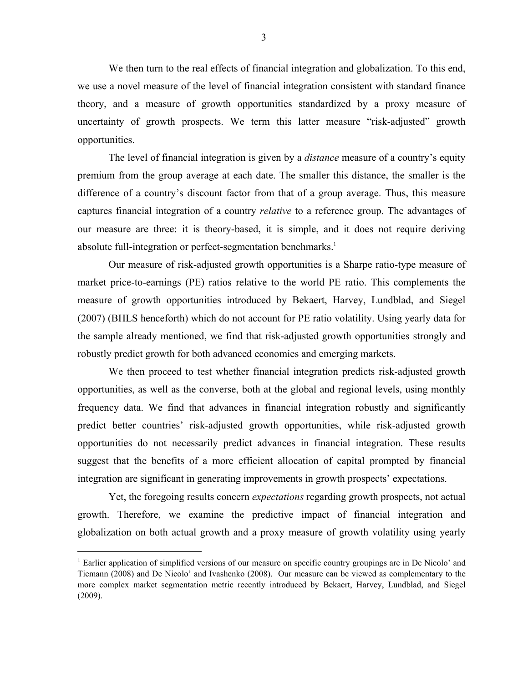We then turn to the real effects of financial integration and globalization. To this end, we use a novel measure of the level of financial integration consistent with standard finance theory, and a measure of growth opportunities standardized by a proxy measure of uncertainty of growth prospects. We term this latter measure "risk-adjusted" growth opportunities.

The level of financial integration is given by a *distance* measure of a country's equity premium from the group average at each date. The smaller this distance, the smaller is the difference of a country's discount factor from that of a group average. Thus, this measure captures financial integration of a country *relative* to a reference group. The advantages of our measure are three: it is theory-based, it is simple, and it does not require deriving absolute full-integration or perfect-segmentation benchmarks.<sup>1</sup>

Our measure of risk-adjusted growth opportunities is a Sharpe ratio-type measure of market price-to-earnings (PE) ratios relative to the world PE ratio. This complements the measure of growth opportunities introduced by Bekaert, Harvey, Lundblad, and Siegel (2007) (BHLS henceforth) which do not account for PE ratio volatility. Using yearly data for the sample already mentioned, we find that risk-adjusted growth opportunities strongly and robustly predict growth for both advanced economies and emerging markets.

We then proceed to test whether financial integration predicts risk-adjusted growth opportunities, as well as the converse, both at the global and regional levels, using monthly frequency data. We find that advances in financial integration robustly and significantly predict better countries' risk-adjusted growth opportunities, while risk-adjusted growth opportunities do not necessarily predict advances in financial integration. These results suggest that the benefits of a more efficient allocation of capital prompted by financial integration are significant in generating improvements in growth prospects' expectations.

Yet, the foregoing results concern *expectations* regarding growth prospects, not actual growth. Therefore, we examine the predictive impact of financial integration and globalization on both actual growth and a proxy measure of growth volatility using yearly

<sup>&</sup>lt;sup>1</sup> Earlier application of simplified versions of our measure on specific country groupings are in De Nicolo' and Tiemann (2008) and De Nicolo' and Ivashenko (2008). Our measure can be viewed as complementary to the more complex market segmentation metric recently introduced by Bekaert, Harvey, Lundblad, and Siegel (2009).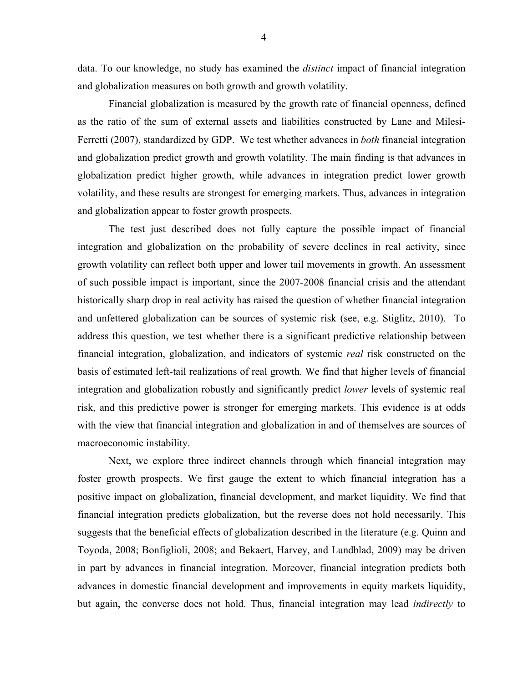data. To our knowledge, no study has examined the *distinct* impact of financial integration and globalization measures on both growth and growth volatility.

Financial globalization is measured by the growth rate of financial openness, defined as the ratio of the sum of external assets and liabilities constructed by Lane and Milesi-Ferretti (2007), standardized by GDP. We test whether advances in *both* financial integration and globalization predict growth and growth volatility. The main finding is that advances in globalization predict higher growth, while advances in integration predict lower growth volatility, and these results are strongest for emerging markets. Thus, advances in integration and globalization appear to foster growth prospects.

The test just described does not fully capture the possible impact of financial integration and globalization on the probability of severe declines in real activity, since growth volatility can reflect both upper and lower tail movements in growth. An assessment of such possible impact is important, since the 2007-2008 financial crisis and the attendant historically sharp drop in real activity has raised the question of whether financial integration and unfettered globalization can be sources of systemic risk (see, e.g. Stiglitz, 2010). To address this question, we test whether there is a significant predictive relationship between financial integration, globalization, and indicators of systemic *real* risk constructed on the basis of estimated left-tail realizations of real growth. We find that higher levels of financial integration and globalization robustly and significantly predict *lower* levels of systemic real risk, and this predictive power is stronger for emerging markets. This evidence is at odds with the view that financial integration and globalization in and of themselves are sources of macroeconomic instability.

Next, we explore three indirect channels through which financial integration may foster growth prospects. We first gauge the extent to which financial integration has a positive impact on globalization, financial development, and market liquidity. We find that financial integration predicts globalization, but the reverse does not hold necessarily. This suggests that the beneficial effects of globalization described in the literature (e.g. Quinn and Toyoda, 2008; Bonfiglioli, 2008; and Bekaert, Harvey, and Lundblad, 2009) may be driven in part by advances in financial integration. Moreover, financial integration predicts both advances in domestic financial development and improvements in equity markets liquidity, but again, the converse does not hold. Thus, financial integration may lead *indirectly* to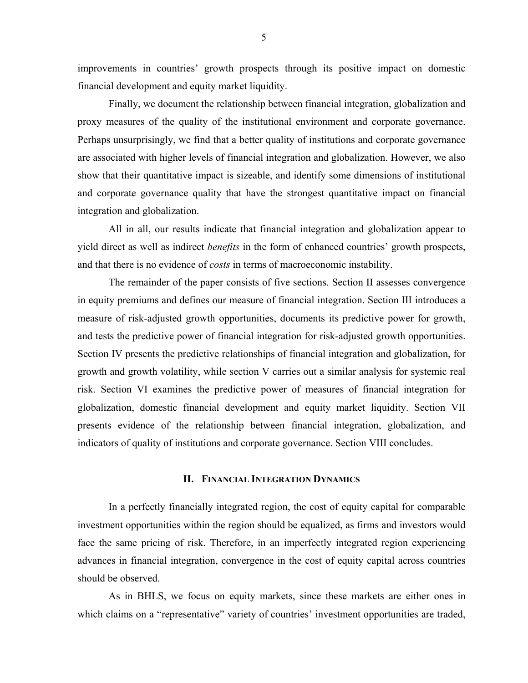improvements in countries' growth prospects through its positive impact on domestic financial development and equity market liquidity.

Finally, we document the relationship between financial integration, globalization and proxy measures of the quality of the institutional environment and corporate governance. Perhaps unsurprisingly, we find that a better quality of institutions and corporate governance are associated with higher levels of financial integration and globalization. However, we also show that their quantitative impact is sizeable, and identify some dimensions of institutional and corporate governance quality that have the strongest quantitative impact on financial integration and globalization.

All in all, our results indicate that financial integration and globalization appear to yield direct as well as indirect *benefits* in the form of enhanced countries' growth prospects, and that there is no evidence of *costs* in terms of macroeconomic instability.

The remainder of the paper consists of five sections. Section II assesses convergence in equity premiums and defines our measure of financial integration. Section III introduces a measure of risk-adjusted growth opportunities, documents its predictive power for growth, and tests the predictive power of financial integration for risk-adjusted growth opportunities. Section IV presents the predictive relationships of financial integration and globalization, for growth and growth volatility, while section V carries out a similar analysis for systemic real risk. Section VI examines the predictive power of measures of financial integration for globalization, domestic financial development and equity market liquidity. Section VII presents evidence of the relationship between financial integration, globalization, and indicators of quality of institutions and corporate governance. Section VIII concludes.

# **II. FINANCIAL INTEGRATION DYNAMICS**

In a perfectly financially integrated region, the cost of equity capital for comparable investment opportunities within the region should be equalized, as firms and investors would face the same pricing of risk. Therefore, in an imperfectly integrated region experiencing advances in financial integration, convergence in the cost of equity capital across countries should be observed.

As in BHLS, we focus on equity markets, since these markets are either ones in which claims on a "representative" variety of countries' investment opportunities are traded,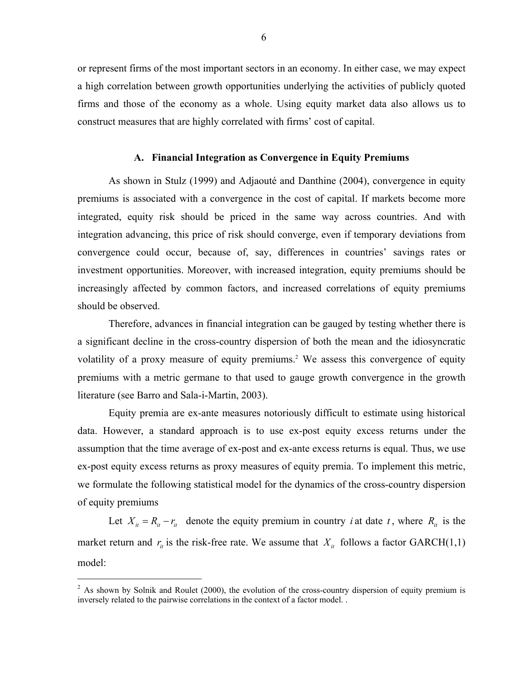or represent firms of the most important sectors in an economy. In either case, we may expect a high correlation between growth opportunities underlying the activities of publicly quoted firms and those of the economy as a whole. Using equity market data also allows us to construct measures that are highly correlated with firms' cost of capital.

# **A. Financial Integration as Convergence in Equity Premiums**

As shown in Stulz (1999) and Adjaouté and Danthine (2004), convergence in equity premiums is associated with a convergence in the cost of capital. If markets become more integrated, equity risk should be priced in the same way across countries. And with integration advancing, this price of risk should converge, even if temporary deviations from convergence could occur, because of, say, differences in countries' savings rates or investment opportunities. Moreover, with increased integration, equity premiums should be increasingly affected by common factors, and increased correlations of equity premiums should be observed.

Therefore, advances in financial integration can be gauged by testing whether there is a significant decline in the cross-country dispersion of both the mean and the idiosyncratic volatility of a proxy measure of equity premiums.<sup>2</sup> We assess this convergence of equity premiums with a metric germane to that used to gauge growth convergence in the growth literature (see Barro and Sala-i-Martin, 2003).

Equity premia are ex-ante measures notoriously difficult to estimate using historical data. However, a standard approach is to use ex-post equity excess returns under the assumption that the time average of ex-post and ex-ante excess returns is equal. Thus, we use ex-post equity excess returns as proxy measures of equity premia. To implement this metric, we formulate the following statistical model for the dynamics of the cross-country dispersion of equity premiums

Let  $X_{it} = R_{it} - r_{it}$  denote the equity premium in country *i* at date *t*, where  $R_{it}$  is the market return and  $r_i$  is the risk-free rate. We assume that  $X_i$  follows a factor GARCH(1,1) model:

 $2^2$  As shown by Solnik and Roulet (2000), the evolution of the cross-country dispersion of equity premium is inversely related to the pairwise correlations in the context of a factor model. .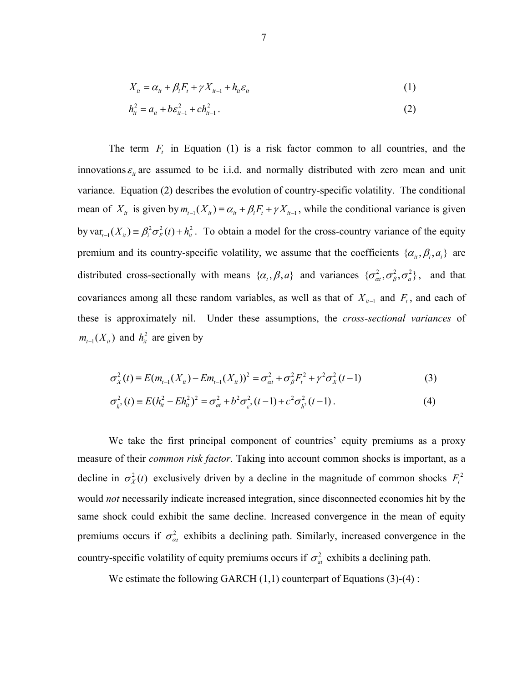$$
X_{it} = \alpha_{it} + \beta_i F_t + \gamma X_{it-1} + h_{it} \varepsilon_{it}
$$
\n<sup>(1)</sup>

$$
h_{it}^2 = a_{it} + b\varepsilon_{it-1}^2 + c h_{it-1}^2. \tag{2}
$$

The term  $F_t$  in Equation (1) is a risk factor common to all countries, and the innovations  $\varepsilon$ <sub>*it*</sub> are assumed to be i.i.d. and normally distributed with zero mean and unit variance. Equation (2) describes the evolution of country-specific volatility. The conditional mean of  $X_{it}$  is given by  $m_{t-1}(X_{it}) = \alpha_{it} + \beta_i F_t + \gamma X_{it-1}$ , while the conditional variance is given by  $var_{t-1}(X_{it}) = \beta_i^2 \sigma_F^2(t) + h_{it}^2$ . To obtain a model for the cross-country variance of the equity premium and its country-specific volatility, we assume that the coefficients  $\{\alpha_{ij}, \beta_i, a_i\}$  are distributed cross-sectionally with means  $\{\alpha_i, \beta, \alpha\}$  and variances  $\{\sigma_{\alpha t}^2, \sigma_{\beta}^2, \sigma_{\alpha}^2\}$ , and that covariances among all these random variables, as well as that of  $X_{i-1}$  and  $F_t$ , and each of these is approximately nil. Under these assumptions, the *cross-sectional variances* of  $m_{t-1}(X_{it})$  and  $h_{it}^2$  are given by

$$
\sigma_X^2(t) \equiv E(m_{t-1}(X_{it}) - Em_{t-1}(X_{it}))^2 = \sigma_{at}^2 + \sigma_{\beta}^2 F_t^2 + \gamma^2 \sigma_X^2(t-1)
$$
(3)

$$
\sigma_{h^2}^2(t) \equiv E(h_{it}^2 - Eh_{it}^2)^2 = \sigma_{at}^2 + b^2 \sigma_{\varepsilon^2}^2(t-1) + c^2 \sigma_{h^2}^2(t-1) \,. \tag{4}
$$

We take the first principal component of countries' equity premiums as a proxy measure of their *common risk factor*. Taking into account common shocks is important, as a decline in  $\sigma_x^2(t)$  exclusively driven by a decline in the magnitude of common shocks  $F_t^2$ would *not* necessarily indicate increased integration, since disconnected economies hit by the same shock could exhibit the same decline. Increased convergence in the mean of equity premiums occurs if  $\sigma_{at}^2$  exhibits a declining path. Similarly, increased convergence in the country-specific volatility of equity premiums occurs if  $\sigma_{at}^2$  exhibits a declining path.

We estimate the following GARCH  $(1,1)$  counterpart of Equations  $(3)-(4)$ :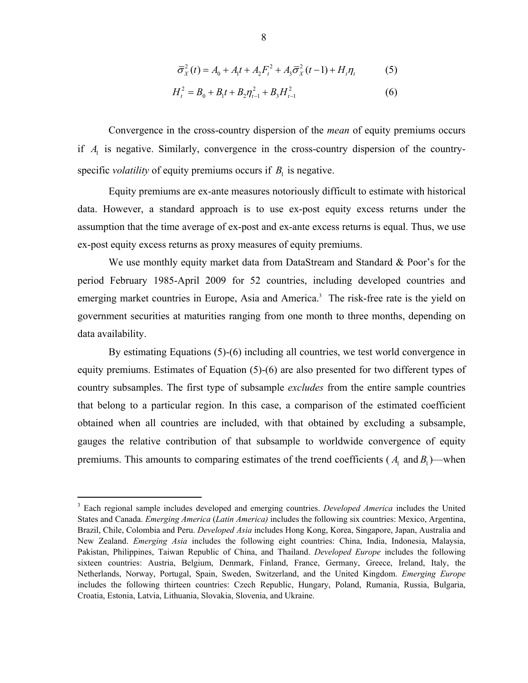$$
\overline{\sigma}_X^2(t) = A_0 + A_1 t + A_2 F_t^2 + A_3 \overline{\sigma}_X^2(t-1) + H_t \eta_t
$$
 (5)

$$
H_t^2 = B_0 + B_1 t + B_2 \eta_{t-1}^2 + B_3 H_{t-1}^2
$$
 (6)

Convergence in the cross-country dispersion of the *mean* of equity premiums occurs if  $A<sub>1</sub>$  is negative. Similarly, convergence in the cross-country dispersion of the countryspecific *volatility* of equity premiums occurs if  $B<sub>1</sub>$  is negative.

Equity premiums are ex-ante measures notoriously difficult to estimate with historical data. However, a standard approach is to use ex-post equity excess returns under the assumption that the time average of ex-post and ex-ante excess returns is equal. Thus, we use ex-post equity excess returns as proxy measures of equity premiums.

We use monthly equity market data from DataStream and Standard & Poor's for the period February 1985-April 2009 for 52 countries, including developed countries and emerging market countries in Europe, Asia and America.<sup>3</sup> The risk-free rate is the yield on government securities at maturities ranging from one month to three months, depending on data availability.

By estimating Equations (5)-(6) including all countries, we test world convergence in equity premiums. Estimates of Equation (5)-(6) are also presented for two different types of country subsamples. The first type of subsample *excludes* from the entire sample countries that belong to a particular region. In this case, a comparison of the estimated coefficient obtained when all countries are included, with that obtained by excluding a subsample, gauges the relative contribution of that subsample to worldwide convergence of equity premiums. This amounts to comparing estimates of the trend coefficients ( $A_1$  and  $B_1$ )—when

<u>.</u>

<sup>3</sup> Each regional sample includes developed and emerging countries. *Developed America* includes the United States and Canada. *Emerging America* (*Latin America)* includes the following six countries: Mexico, Argentina, Brazil, Chile, Colombia and Peru. *Developed Asia* includes Hong Kong, Korea, Singapore, Japan, Australia and New Zealand. *Emerging Asia* includes the following eight countries: China, India, Indonesia, Malaysia, Pakistan, Philippines, Taiwan Republic of China, and Thailand. *Developed Europe* includes the following sixteen countries: Austria, Belgium, Denmark, Finland, France, Germany, Greece, Ireland, Italy, the Netherlands, Norway, Portugal, Spain, Sweden, Switzerland, and the United Kingdom. *Emerging Europe* includes the following thirteen countries: Czech Republic, Hungary, Poland, Rumania, Russia, Bulgaria, Croatia, Estonia, Latvia, Lithuania, Slovakia, Slovenia, and Ukraine.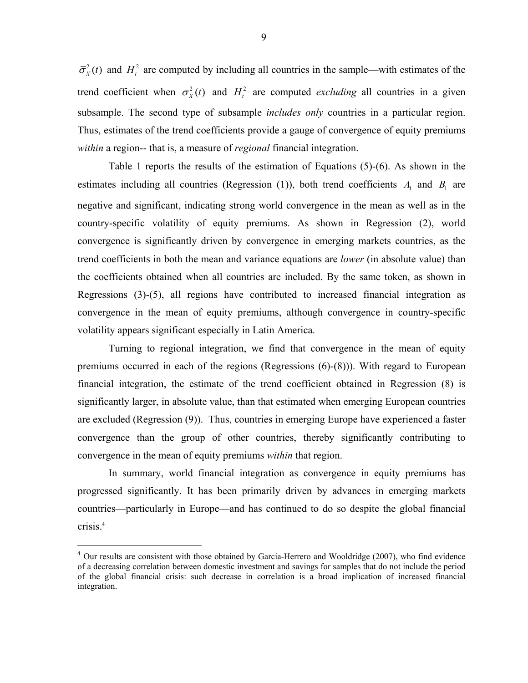$\bar{\sigma}_x^2(t)$  and  $H_t^2$  are computed by including all countries in the sample—with estimates of the trend coefficient when  $\bar{\sigma}_x^2(t)$  and  $H_t^2$  are computed *excluding* all countries in a given subsample. The second type of subsample *includes only* countries in a particular region. Thus, estimates of the trend coefficients provide a gauge of convergence of equity premiums *within* a region-- that is, a measure of *regional* financial integration.

Table 1 reports the results of the estimation of Equations (5)-(6). As shown in the estimates including all countries (Regression (1)), both trend coefficients  $A_1$  and  $B_1$  are negative and significant, indicating strong world convergence in the mean as well as in the country-specific volatility of equity premiums. As shown in Regression (2), world convergence is significantly driven by convergence in emerging markets countries, as the trend coefficients in both the mean and variance equations are *lower* (in absolute value) than the coefficients obtained when all countries are included. By the same token, as shown in Regressions (3)-(5), all regions have contributed to increased financial integration as convergence in the mean of equity premiums, although convergence in country-specific volatility appears significant especially in Latin America.

Turning to regional integration, we find that convergence in the mean of equity premiums occurred in each of the regions (Regressions  $(6)-(8)$ )). With regard to European financial integration, the estimate of the trend coefficient obtained in Regression (8) is significantly larger, in absolute value, than that estimated when emerging European countries are excluded (Regression (9)). Thus, countries in emerging Europe have experienced a faster convergence than the group of other countries, thereby significantly contributing to convergence in the mean of equity premiums *within* that region.

In summary, world financial integration as convergence in equity premiums has progressed significantly. It has been primarily driven by advances in emerging markets countries—particularly in Europe—and has continued to do so despite the global financial crisis.4

<sup>&</sup>lt;sup>4</sup> Our results are consistent with those obtained by Garcia-Herrero and Wooldridge (2007), who find evidence of a decreasing correlation between domestic investment and savings for samples that do not include the period of the global financial crisis: such decrease in correlation is a broad implication of increased financial integration.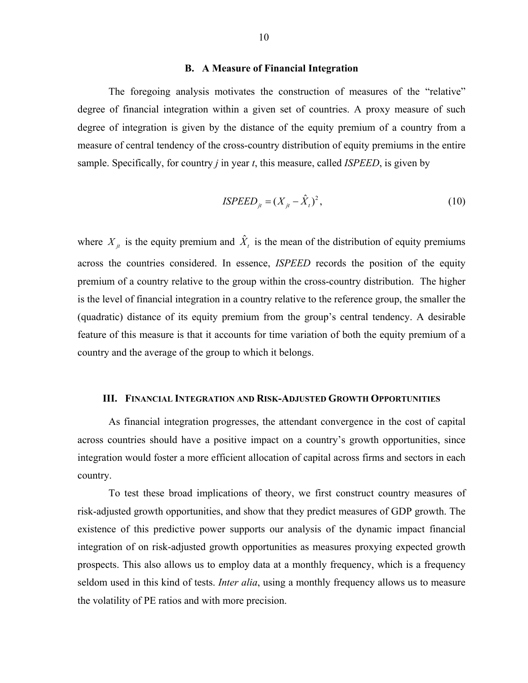# **B. A Measure of Financial Integration**

The foregoing analysis motivates the construction of measures of the "relative" degree of financial integration within a given set of countries. A proxy measure of such degree of integration is given by the distance of the equity premium of a country from a measure of central tendency of the cross-country distribution of equity premiums in the entire sample. Specifically, for country *j* in year *t*, this measure, called *ISPEED*, is given by

$$
ISPEED_{ji} = (X_{ji} - \hat{X}_i)^2,
$$
\n(10)

where  $X_{jt}$  is the equity premium and  $\hat{X}_t$  is the mean of the distribution of equity premiums across the countries considered. In essence, *ISPEED* records the position of the equity premium of a country relative to the group within the cross-country distribution. The higher is the level of financial integration in a country relative to the reference group, the smaller the (quadratic) distance of its equity premium from the group's central tendency. A desirable feature of this measure is that it accounts for time variation of both the equity premium of a country and the average of the group to which it belongs.

# **III. FINANCIAL INTEGRATION AND RISK-ADJUSTED GROWTH OPPORTUNITIES**

As financial integration progresses, the attendant convergence in the cost of capital across countries should have a positive impact on a country's growth opportunities, since integration would foster a more efficient allocation of capital across firms and sectors in each country.

To test these broad implications of theory, we first construct country measures of risk-adjusted growth opportunities, and show that they predict measures of GDP growth. The existence of this predictive power supports our analysis of the dynamic impact financial integration of on risk-adjusted growth opportunities as measures proxying expected growth prospects. This also allows us to employ data at a monthly frequency, which is a frequency seldom used in this kind of tests. *Inter alia*, using a monthly frequency allows us to measure the volatility of PE ratios and with more precision.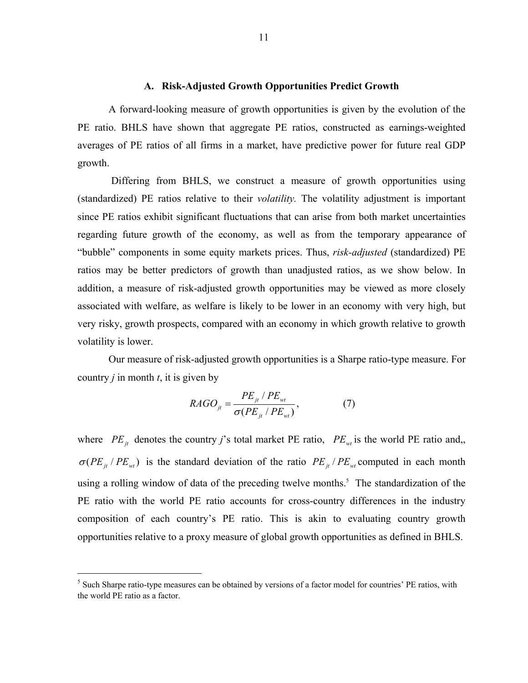# **A. Risk-Adjusted Growth Opportunities Predict Growth**

A forward-looking measure of growth opportunities is given by the evolution of the PE ratio. BHLS have shown that aggregate PE ratios, constructed as earnings-weighted averages of PE ratios of all firms in a market, have predictive power for future real GDP growth.

 Differing from BHLS, we construct a measure of growth opportunities using (standardized) PE ratios relative to their *volatility.* The volatility adjustment is important since PE ratios exhibit significant fluctuations that can arise from both market uncertainties regarding future growth of the economy, as well as from the temporary appearance of "bubble" components in some equity markets prices. Thus, *risk-adjusted* (standardized) PE ratios may be better predictors of growth than unadjusted ratios, as we show below. In addition, a measure of risk-adjusted growth opportunities may be viewed as more closely associated with welfare, as welfare is likely to be lower in an economy with very high, but very risky, growth prospects, compared with an economy in which growth relative to growth volatility is lower.

Our measure of risk-adjusted growth opportunities is a Sharpe ratio-type measure. For country *j* in month *t*, it is given by

$$
RAGO_{jt} = \frac{PE_{jt} / PE_{wt}}{\sigma (PE_{jt} / PE_{wt})},
$$
 (7)

where  $PE_{it}$  denotes the country *j*'s total market PE ratio,  $PE_{wt}$  is the world PE ratio and,,  $\sigma (PE_{it} / PE_{wt})$  is the standard deviation of the ratio  $PE_{it} / PE_{wt}$  computed in each month using a rolling window of data of the preceding twelve months.<sup>5</sup> The standardization of the PE ratio with the world PE ratio accounts for cross-country differences in the industry composition of each country's PE ratio. This is akin to evaluating country growth opportunities relative to a proxy measure of global growth opportunities as defined in BHLS.

<sup>&</sup>lt;sup>5</sup> Such Sharpe ratio-type measures can be obtained by versions of a factor model for countries' PE ratios, with the world PE ratio as a factor.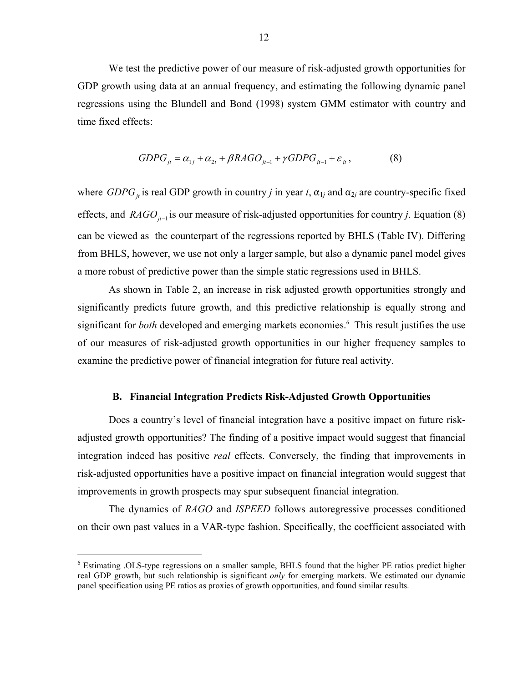We test the predictive power of our measure of risk-adjusted growth opportunities for GDP growth using data at an annual frequency, and estimating the following dynamic panel regressions using the Blundell and Bond (1998) system GMM estimator with country and time fixed effects:

$$
GDPG_{i} = \alpha_{1i} + \alpha_{2i} + \beta RAGO_{i^{t-1}} + \gamma GDPG_{i^{t-1}} + \varepsilon_{i^{t}},
$$
\n(8)

where *GDPG<sub>jt</sub>* is real GDP growth in country *j* in year *t*,  $\alpha_{1j}$  and  $\alpha_{2j}$  are country-specific fixed effects, and *RAGO<sub>it-1</sub>* is our measure of risk-adjusted opportunities for country *j*. Equation (8) can be viewed as the counterpart of the regressions reported by BHLS (Table IV). Differing from BHLS, however, we use not only a larger sample, but also a dynamic panel model gives a more robust of predictive power than the simple static regressions used in BHLS.

 As shown in Table 2, an increase in risk adjusted growth opportunities strongly and significantly predicts future growth, and this predictive relationship is equally strong and significant for *both* developed and emerging markets economies.<sup>6</sup> This result justifies the use of our measures of risk-adjusted growth opportunities in our higher frequency samples to examine the predictive power of financial integration for future real activity.

# **B. Financial Integration Predicts Risk-Adjusted Growth Opportunities**

Does a country's level of financial integration have a positive impact on future riskadjusted growth opportunities? The finding of a positive impact would suggest that financial integration indeed has positive *real* effects. Conversely, the finding that improvements in risk-adjusted opportunities have a positive impact on financial integration would suggest that improvements in growth prospects may spur subsequent financial integration.

The dynamics of *RAGO* and *ISPEED* follows autoregressive processes conditioned on their own past values in a VAR-type fashion. Specifically, the coefficient associated with

<sup>&</sup>lt;sup>6</sup> Estimating .OLS-type regressions on a smaller sample, BHLS found that the higher PE ratios predict higher real GDP growth, but such relationship is significant *only* for emerging markets. We estimated our dynamic panel specification using PE ratios as proxies of growth opportunities, and found similar results.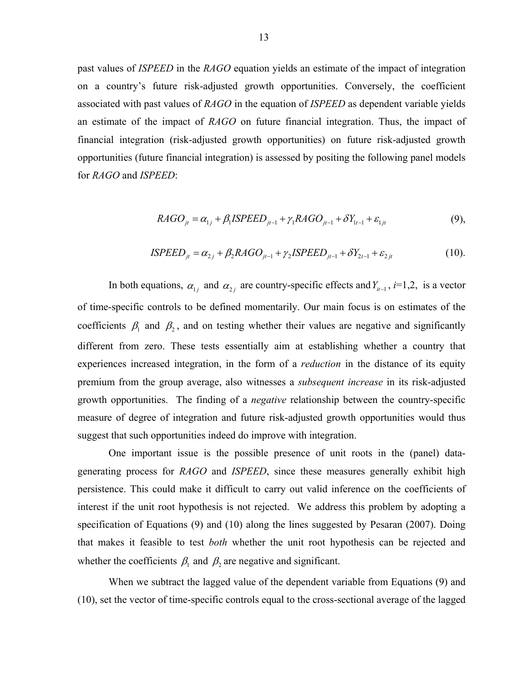past values of *ISPEED* in the *RAGO* equation yields an estimate of the impact of integration on a country's future risk-adjusted growth opportunities. Conversely, the coefficient associated with past values of *RAGO* in the equation of *ISPEED* as dependent variable yields an estimate of the impact of *RAGO* on future financial integration. Thus, the impact of financial integration (risk-adjusted growth opportunities) on future risk-adjusted growth opportunities (future financial integration) is assessed by positing the following panel models for *RAGO* and *ISPEED*:

$$
RAGO_{jt} = \alpha_{1j} + \beta_1 ISPECD_{jt-1} + \gamma_1 RAGO_{jt-1} + \delta Y_{1t-1} + \varepsilon_{1jt}
$$
(9),

$$
ISPEED_{jt} = \alpha_{2j} + \beta_2 RAGO_{jt-1} + \gamma_2 ISPEED_{jt-1} + \delta Y_{2t-1} + \varepsilon_{2jt}
$$
(10).

In both equations,  $\alpha_{1i}$  and  $\alpha_{2i}$  are country-specific effects and  $Y_{ii-1}$ ,  $i=1,2$ , is a vector of time-specific controls to be defined momentarily. Our main focus is on estimates of the coefficients  $\beta_1$  and  $\beta_2$ , and on testing whether their values are negative and significantly different from zero. These tests essentially aim at establishing whether a country that experiences increased integration, in the form of a *reduction* in the distance of its equity premium from the group average, also witnesses a *subsequent increase* in its risk-adjusted growth opportunities. The finding of a *negative* relationship between the country-specific measure of degree of integration and future risk-adjusted growth opportunities would thus suggest that such opportunities indeed do improve with integration.

One important issue is the possible presence of unit roots in the (panel) datagenerating process for *RAGO* and *ISPEED*, since these measures generally exhibit high persistence. This could make it difficult to carry out valid inference on the coefficients of interest if the unit root hypothesis is not rejected. We address this problem by adopting a specification of Equations (9) and (10) along the lines suggested by Pesaran (2007). Doing that makes it feasible to test *both* whether the unit root hypothesis can be rejected and whether the coefficients  $\beta_1$  and  $\beta_2$  are negative and significant.

When we subtract the lagged value of the dependent variable from Equations (9) and (10), set the vector of time-specific controls equal to the cross-sectional average of the lagged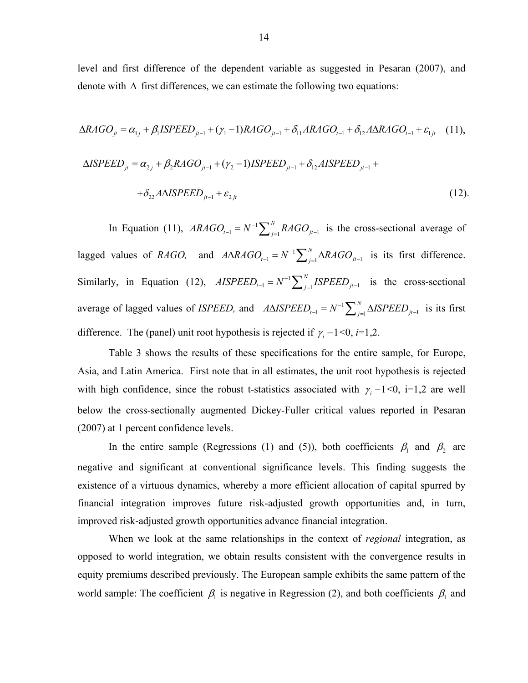level and first difference of the dependent variable as suggested in Pesaran (2007), and denote with  $\Delta$  first differences, we can estimate the following two equations:

$$
\Delta RAGO_{jt} = \alpha_{1j} + \beta_1 I SPEED_{jt-1} + (\gamma_1 - 1)RAGO_{jt-1} + \delta_{11} ARAGO_{t-1} + \delta_{12} A \Delta RAGO_{t-1} + \varepsilon_{1jt} \quad (11),
$$
  
\n
$$
\Delta I SPEED_{jt} = \alpha_{2j} + \beta_2 RAGO_{jt-1} + (\gamma_2 - 1)ISPEED_{jt-1} + \delta_{12} AISPEED_{jt-1} + \delta_{22} A \Delta I SPEED_{jt-1} + \varepsilon_{2jt} \tag{12}.
$$

In Equation (11),  $ARAGO_{t-1} = N^{-1} \sum_{j=1}^{N} RAGO_{jt-1}$ *N*  $ARAGO_{i-1} = N^{-1} \sum_{j=1}^{N} RAGO_{j}$  is the cross-sectional average of lagged values of *RAGO*, and  $A\Delta RAGO_{t-1} = N^{-1} \sum_{j=1}^{N} \Delta RAGO_{jt-1}$ *N*  $A\Delta RAGO_{t-1} = N^{-1}\sum_{j=1}^{N} \Delta RAGO_{jt-1}$  is its first difference. Similarly, in Equation (12),  $AISPEED_{t-1} = N^{-1} \sum_{j=1}^{N} ISPEED_{jt-1}$ *N*  $AISPEED_{t-1} = N^{-1} \sum_{j=1}^{N} ISPEED_{jt-1}$  is the cross-sectional average of lagged values of *ISPEED*, and  $A\Delta I SPEED_{t-1} = N^{-1} \sum_{j=1}^{N} \Delta I SPEED_{jt-1}$ *N*  $A\Delta I SPEED_{t-1} = N^{-1} \sum_{j=1}^{N} \Delta I SPEED_{jt-1}$  is its first difference. The (panel) unit root hypothesis is rejected if  $\gamma_i$  –1<0, *i*=1,2.

Table 3 shows the results of these specifications for the entire sample, for Europe, Asia, and Latin America. First note that in all estimates, the unit root hypothesis is rejected with high confidence, since the robust t-statistics associated with  $\gamma_i$  -1<0, i=1,2 are well below the cross-sectionally augmented Dickey-Fuller critical values reported in Pesaran (2007) at 1 percent confidence levels.

In the entire sample (Regressions (1) and (5)), both coefficients  $\beta_1$  and  $\beta_2$  are negative and significant at conventional significance levels. This finding suggests the existence of a virtuous dynamics, whereby a more efficient allocation of capital spurred by financial integration improves future risk-adjusted growth opportunities and, in turn, improved risk-adjusted growth opportunities advance financial integration.

When we look at the same relationships in the context of *regional* integration, as opposed to world integration, we obtain results consistent with the convergence results in equity premiums described previously. The European sample exhibits the same pattern of the world sample: The coefficient  $\beta_1$  is negative in Regression (2), and both coefficients  $\beta_1$  and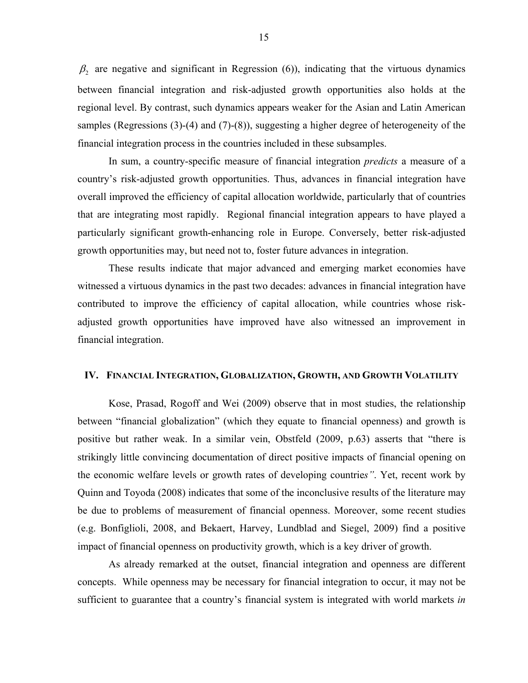$\beta_2$  are negative and significant in Regression (6)), indicating that the virtuous dynamics between financial integration and risk-adjusted growth opportunities also holds at the regional level. By contrast, such dynamics appears weaker for the Asian and Latin American samples (Regressions (3)-(4) and (7)-(8)), suggesting a higher degree of heterogeneity of the financial integration process in the countries included in these subsamples.

In sum, a country-specific measure of financial integration *predicts* a measure of a country's risk-adjusted growth opportunities. Thus, advances in financial integration have overall improved the efficiency of capital allocation worldwide, particularly that of countries that are integrating most rapidly. Regional financial integration appears to have played a particularly significant growth-enhancing role in Europe. Conversely, better risk-adjusted growth opportunities may, but need not to, foster future advances in integration.

These results indicate that major advanced and emerging market economies have witnessed a virtuous dynamics in the past two decades: advances in financial integration have contributed to improve the efficiency of capital allocation, while countries whose riskadjusted growth opportunities have improved have also witnessed an improvement in financial integration.

# **IV. FINANCIAL INTEGRATION, GLOBALIZATION, GROWTH, AND GROWTH VOLATILITY**

Kose, Prasad, Rogoff and Wei (2009) observe that in most studies, the relationship between "financial globalization" (which they equate to financial openness) and growth is positive but rather weak. In a similar vein, Obstfeld (2009, p.63) asserts that "there is strikingly little convincing documentation of direct positive impacts of financial opening on the economic welfare levels or growth rates of developing countrie*s"*. Yet, recent work by Quinn and Toyoda (2008) indicates that some of the inconclusive results of the literature may be due to problems of measurement of financial openness. Moreover, some recent studies (e.g. Bonfiglioli, 2008, and Bekaert, Harvey, Lundblad and Siegel, 2009) find a positive impact of financial openness on productivity growth, which is a key driver of growth.

As already remarked at the outset, financial integration and openness are different concepts. While openness may be necessary for financial integration to occur, it may not be sufficient to guarantee that a country's financial system is integrated with world markets *in*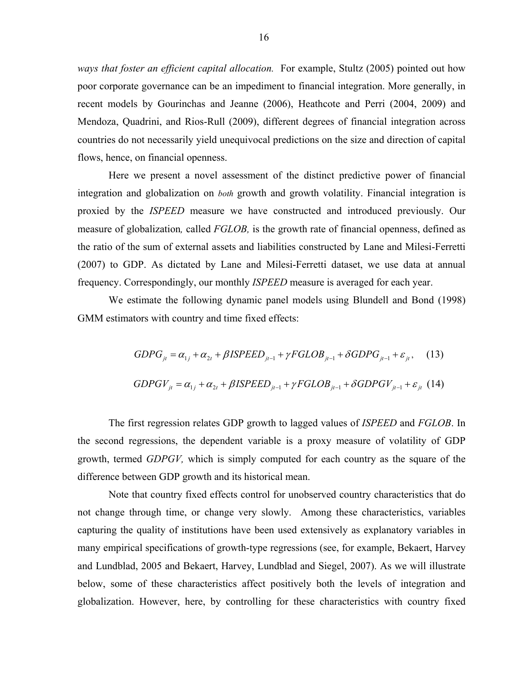*ways that foster an efficient capital allocation.* For example, Stultz (2005) pointed out how poor corporate governance can be an impediment to financial integration. More generally, in recent models by Gourinchas and Jeanne (2006), Heathcote and Perri (2004, 2009) and Mendoza, Quadrini, and Rios-Rull (2009), different degrees of financial integration across countries do not necessarily yield unequivocal predictions on the size and direction of capital flows, hence, on financial openness.

Here we present a novel assessment of the distinct predictive power of financial integration and globalization on *both* growth and growth volatility. Financial integration is proxied by the *ISPEED* measure we have constructed and introduced previously. Our measure of globalization*,* called *FGLOB,* is the growth rate of financial openness, defined as the ratio of the sum of external assets and liabilities constructed by Lane and Milesi-Ferretti (2007) to GDP. As dictated by Lane and Milesi-Ferretti dataset, we use data at annual frequency. Correspondingly, our monthly *ISPEED* measure is averaged for each year.

We estimate the following dynamic panel models using Blundell and Bond (1998) GMM estimators with country and time fixed effects:

$$
GDPG_{jt} = \alpha_{1j} + \alpha_{2t} + \beta ISPEED_{jt-1} + \gamma FGLOB_{jt-1} + \delta GDPG_{jt-1} + \varepsilon_{jt}, \quad (13)
$$

$$
GDPGV_{ji} = \alpha_{1j} + \alpha_{2t} + \beta ISPEED_{ji-1} + \gamma FGLOB_{ji-1} + \delta GDPGV_{ji-1} + \varepsilon_{ji} \ (14)
$$

The first regression relates GDP growth to lagged values of *ISPEED* and *FGLOB*. In the second regressions, the dependent variable is a proxy measure of volatility of GDP growth, termed *GDPGV,* which is simply computed for each country as the square of the difference between GDP growth and its historical mean.

Note that country fixed effects control for unobserved country characteristics that do not change through time, or change very slowly. Among these characteristics, variables capturing the quality of institutions have been used extensively as explanatory variables in many empirical specifications of growth-type regressions (see, for example, Bekaert, Harvey and Lundblad, 2005 and Bekaert, Harvey, Lundblad and Siegel, 2007). As we will illustrate below, some of these characteristics affect positively both the levels of integration and globalization. However, here, by controlling for these characteristics with country fixed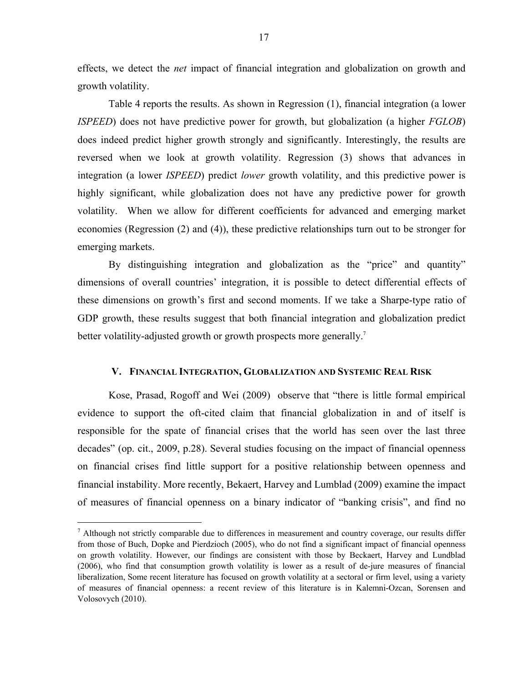effects, we detect the *net* impact of financial integration and globalization on growth and growth volatility.

Table 4 reports the results. As shown in Regression (1), financial integration (a lower *ISPEED*) does not have predictive power for growth, but globalization (a higher *FGLOB*) does indeed predict higher growth strongly and significantly. Interestingly, the results are reversed when we look at growth volatility. Regression (3) shows that advances in integration (a lower *ISPEED*) predict *lower* growth volatility, and this predictive power is highly significant, while globalization does not have any predictive power for growth volatility. When we allow for different coefficients for advanced and emerging market economies (Regression (2) and (4)), these predictive relationships turn out to be stronger for emerging markets.

By distinguishing integration and globalization as the "price" and quantity" dimensions of overall countries' integration, it is possible to detect differential effects of these dimensions on growth's first and second moments. If we take a Sharpe-type ratio of GDP growth, these results suggest that both financial integration and globalization predict better volatility-adjusted growth or growth prospects more generally.<sup>7</sup>

# **V. FINANCIAL INTEGRATION, GLOBALIZATION AND SYSTEMIC REAL RISK**

Kose, Prasad, Rogoff and Wei (2009) observe that "there is little formal empirical evidence to support the oft-cited claim that financial globalization in and of itself is responsible for the spate of financial crises that the world has seen over the last three decades" (op. cit., 2009, p.28). Several studies focusing on the impact of financial openness on financial crises find little support for a positive relationship between openness and financial instability. More recently, Bekaert, Harvey and Lumblad (2009) examine the impact of measures of financial openness on a binary indicator of "banking crisis", and find no

 $<sup>7</sup>$  Although not strictly comparable due to differences in measurement and country coverage, our results differ</sup> from those of Buch, Dopke and Pierdzioch (2005), who do not find a significant impact of financial openness on growth volatility. However, our findings are consistent with those by Beckaert, Harvey and Lundblad (2006), who find that consumption growth volatility is lower as a result of de-jure measures of financial liberalization, Some recent literature has focused on growth volatility at a sectoral or firm level, using a variety of measures of financial openness: a recent review of this literature is in Kalemni-Ozcan, Sorensen and Volosovych (2010).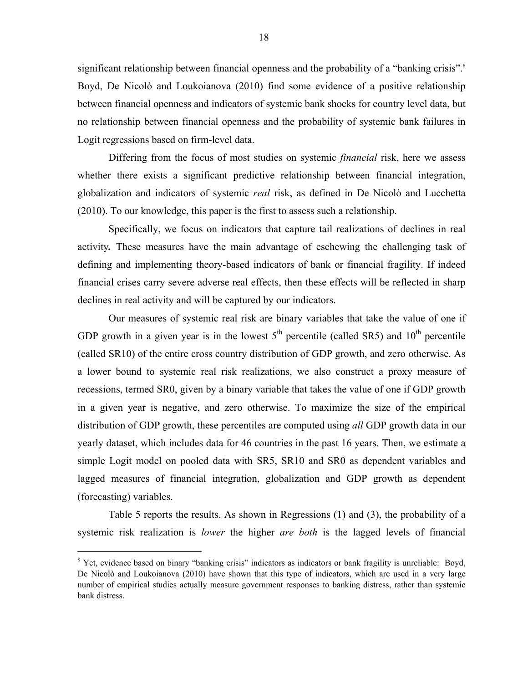significant relationship between financial openness and the probability of a "banking crisis".<sup>8</sup> Boyd, De Nicolò and Loukoianova (2010) find some evidence of a positive relationship between financial openness and indicators of systemic bank shocks for country level data, but no relationship between financial openness and the probability of systemic bank failures in Logit regressions based on firm-level data.

Differing from the focus of most studies on systemic *financial* risk, here we assess whether there exists a significant predictive relationship between financial integration, globalization and indicators of systemic *real* risk, as defined in De Nicolò and Lucchetta (2010). To our knowledge, this paper is the first to assess such a relationship.

Specifically, we focus on indicators that capture tail realizations of declines in real activity*.* These measures have the main advantage of eschewing the challenging task of defining and implementing theory-based indicators of bank or financial fragility. If indeed financial crises carry severe adverse real effects, then these effects will be reflected in sharp declines in real activity and will be captured by our indicators.

Our measures of systemic real risk are binary variables that take the value of one if GDP growth in a given year is in the lowest  $5<sup>th</sup>$  percentile (called SR5) and  $10<sup>th</sup>$  percentile (called SR10) of the entire cross country distribution of GDP growth, and zero otherwise. As a lower bound to systemic real risk realizations, we also construct a proxy measure of recessions, termed SR0, given by a binary variable that takes the value of one if GDP growth in a given year is negative, and zero otherwise. To maximize the size of the empirical distribution of GDP growth, these percentiles are computed using *all* GDP growth data in our yearly dataset, which includes data for 46 countries in the past 16 years. Then, we estimate a simple Logit model on pooled data with SR5, SR10 and SR0 as dependent variables and lagged measures of financial integration, globalization and GDP growth as dependent (forecasting) variables.

Table 5 reports the results. As shown in Regressions (1) and (3), the probability of a systemic risk realization is *lower* the higher *are both* is the lagged levels of financial

<sup>&</sup>lt;sup>8</sup> Yet, evidence based on binary "banking crisis" indicators as indicators or bank fragility is unreliable: Boyd, De Nicolò and Loukoianova (2010) have shown that this type of indicators, which are used in a very large number of empirical studies actually measure government responses to banking distress, rather than systemic bank distress.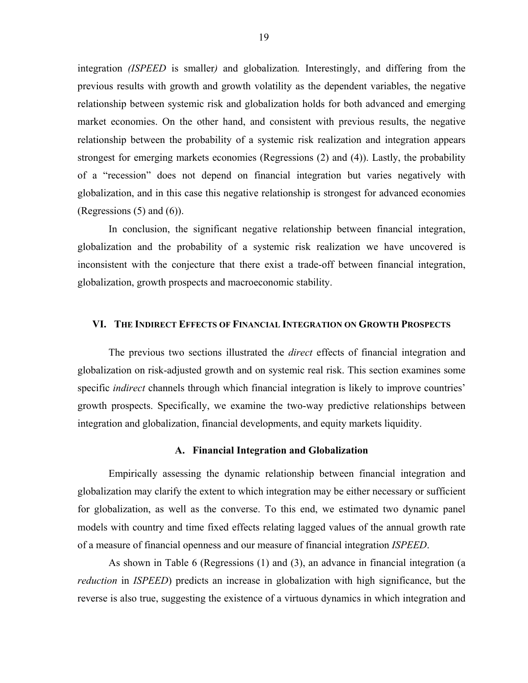integration *(ISPEED* is smaller*)* and globalization*.* Interestingly, and differing from the previous results with growth and growth volatility as the dependent variables, the negative relationship between systemic risk and globalization holds for both advanced and emerging market economies. On the other hand, and consistent with previous results, the negative relationship between the probability of a systemic risk realization and integration appears strongest for emerging markets economies (Regressions (2) and (4)). Lastly, the probability of a "recession" does not depend on financial integration but varies negatively with globalization, and in this case this negative relationship is strongest for advanced economies (Regressions  $(5)$  and  $(6)$ ).

In conclusion, the significant negative relationship between financial integration, globalization and the probability of a systemic risk realization we have uncovered is inconsistent with the conjecture that there exist a trade-off between financial integration, globalization, growth prospects and macroeconomic stability.

#### **VI. THE INDIRECT EFFECTS OF FINANCIAL INTEGRATION ON GROWTH PROSPECTS**

The previous two sections illustrated the *direct* effects of financial integration and globalization on risk-adjusted growth and on systemic real risk. This section examines some specific *indirect* channels through which financial integration is likely to improve countries' growth prospects. Specifically, we examine the two-way predictive relationships between integration and globalization, financial developments, and equity markets liquidity.

# **A. Financial Integration and Globalization**

Empirically assessing the dynamic relationship between financial integration and globalization may clarify the extent to which integration may be either necessary or sufficient for globalization, as well as the converse. To this end, we estimated two dynamic panel models with country and time fixed effects relating lagged values of the annual growth rate of a measure of financial openness and our measure of financial integration *ISPEED*.

As shown in Table 6 (Regressions (1) and (3), an advance in financial integration (a *reduction* in *ISPEED*) predicts an increase in globalization with high significance, but the reverse is also true, suggesting the existence of a virtuous dynamics in which integration and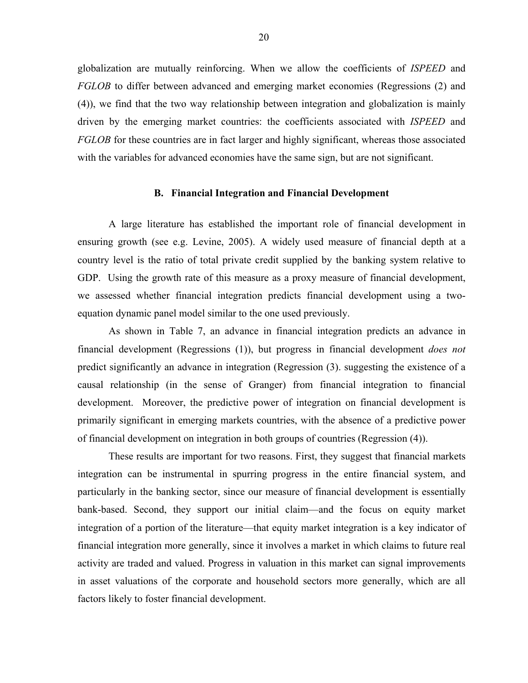globalization are mutually reinforcing. When we allow the coefficients of *ISPEED* and *FGLOB* to differ between advanced and emerging market economies (Regressions (2) and (4)), we find that the two way relationship between integration and globalization is mainly driven by the emerging market countries: the coefficients associated with *ISPEED* and *FGLOB* for these countries are in fact larger and highly significant, whereas those associated with the variables for advanced economies have the same sign, but are not significant.

# **B. Financial Integration and Financial Development**

A large literature has established the important role of financial development in ensuring growth (see e.g. Levine, 2005). A widely used measure of financial depth at a country level is the ratio of total private credit supplied by the banking system relative to GDP. Using the growth rate of this measure as a proxy measure of financial development, we assessed whether financial integration predicts financial development using a twoequation dynamic panel model similar to the one used previously.

As shown in Table 7, an advance in financial integration predicts an advance in financial development (Regressions (1)), but progress in financial development *does not* predict significantly an advance in integration (Regression (3). suggesting the existence of a causal relationship (in the sense of Granger) from financial integration to financial development. Moreover, the predictive power of integration on financial development is primarily significant in emerging markets countries, with the absence of a predictive power of financial development on integration in both groups of countries (Regression (4)).

These results are important for two reasons. First, they suggest that financial markets integration can be instrumental in spurring progress in the entire financial system, and particularly in the banking sector, since our measure of financial development is essentially bank-based. Second, they support our initial claim—and the focus on equity market integration of a portion of the literature—that equity market integration is a key indicator of financial integration more generally, since it involves a market in which claims to future real activity are traded and valued. Progress in valuation in this market can signal improvements in asset valuations of the corporate and household sectors more generally, which are all factors likely to foster financial development.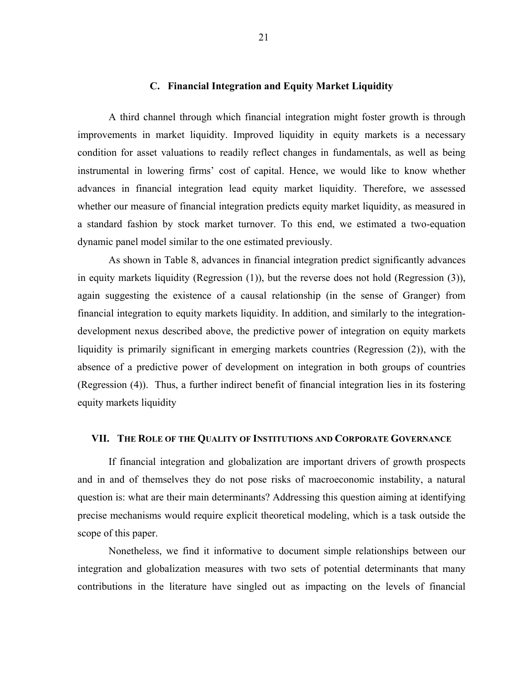# **C. Financial Integration and Equity Market Liquidity**

A third channel through which financial integration might foster growth is through improvements in market liquidity. Improved liquidity in equity markets is a necessary condition for asset valuations to readily reflect changes in fundamentals, as well as being instrumental in lowering firms' cost of capital. Hence, we would like to know whether advances in financial integration lead equity market liquidity. Therefore, we assessed whether our measure of financial integration predicts equity market liquidity, as measured in a standard fashion by stock market turnover. To this end, we estimated a two-equation dynamic panel model similar to the one estimated previously.

As shown in Table 8, advances in financial integration predict significantly advances in equity markets liquidity (Regression (1)), but the reverse does not hold (Regression (3)), again suggesting the existence of a causal relationship (in the sense of Granger) from financial integration to equity markets liquidity. In addition, and similarly to the integrationdevelopment nexus described above, the predictive power of integration on equity markets liquidity is primarily significant in emerging markets countries (Regression (2)), with the absence of a predictive power of development on integration in both groups of countries (Regression (4)). Thus, a further indirect benefit of financial integration lies in its fostering equity markets liquidity

# **VII. THE ROLE OF THE QUALITY OF INSTITUTIONS AND CORPORATE GOVERNANCE**

If financial integration and globalization are important drivers of growth prospects and in and of themselves they do not pose risks of macroeconomic instability, a natural question is: what are their main determinants? Addressing this question aiming at identifying precise mechanisms would require explicit theoretical modeling, which is a task outside the scope of this paper.

Nonetheless, we find it informative to document simple relationships between our integration and globalization measures with two sets of potential determinants that many contributions in the literature have singled out as impacting on the levels of financial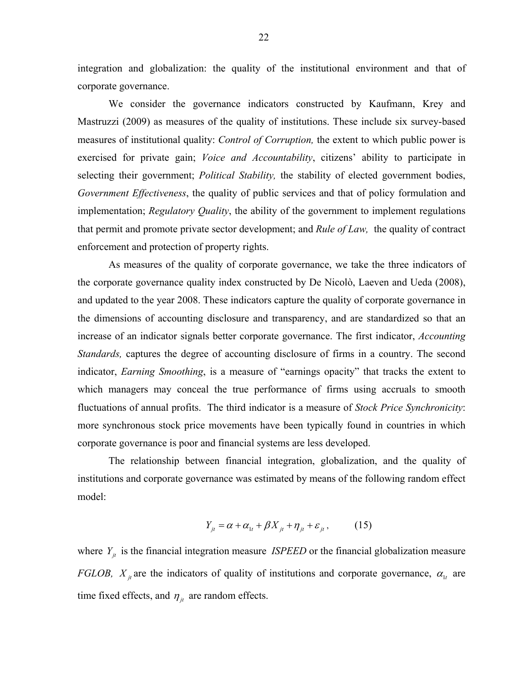integration and globalization: the quality of the institutional environment and that of corporate governance.

We consider the governance indicators constructed by Kaufmann, Krey and Mastruzzi (2009) as measures of the quality of institutions. These include six survey-based measures of institutional quality: *Control of Corruption,* the extent to which public power is exercised for private gain; *Voice and Accountability*, citizens' ability to participate in selecting their government; *Political Stability,* the stability of elected government bodies, *Government Effectiveness*, the quality of public services and that of policy formulation and implementation; *Regulatory Quality*, the ability of the government to implement regulations that permit and promote private sector development; and *Rule of Law,* the quality of contract enforcement and protection of property rights.

As measures of the quality of corporate governance, we take the three indicators of the corporate governance quality index constructed by De Nicolò, Laeven and Ueda (2008), and updated to the year 2008. These indicators capture the quality of corporate governance in the dimensions of accounting disclosure and transparency, and are standardized so that an increase of an indicator signals better corporate governance. The first indicator, *Accounting Standards,* captures the degree of accounting disclosure of firms in a country. The second indicator, *Earning Smoothing*, is a measure of "earnings opacity" that tracks the extent to which managers may conceal the true performance of firms using accruals to smooth fluctuations of annual profits. The third indicator is a measure of *Stock Price Synchronicity*: more synchronous stock price movements have been typically found in countries in which corporate governance is poor and financial systems are less developed.

The relationship between financial integration, globalization, and the quality of institutions and corporate governance was estimated by means of the following random effect model:

$$
Y_{it} = \alpha + \alpha_{1t} + \beta X_{it} + \eta_{it} + \varepsilon_{it}, \qquad (15)
$$

where  $Y_{it}$  is the financial integration measure *ISPEED* or the financial globalization measure *FGLOB,*  $X_{i}$  are the indicators of quality of institutions and corporate governance,  $\alpha_{1}$  are time fixed effects, and  $\eta_{it}$  are random effects.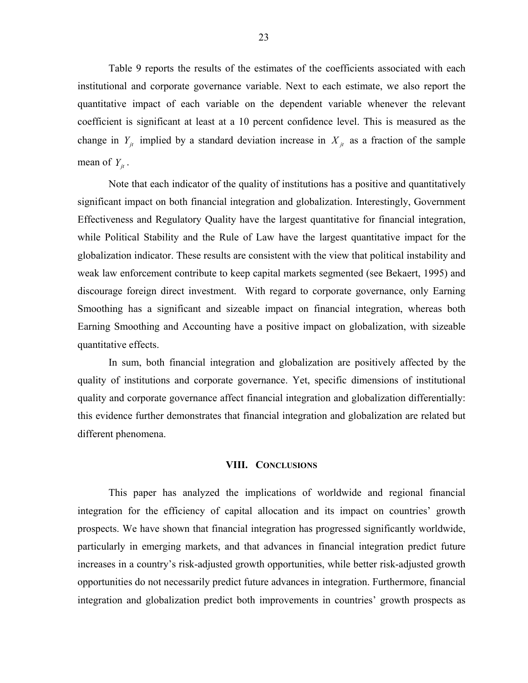Table 9 reports the results of the estimates of the coefficients associated with each institutional and corporate governance variable. Next to each estimate, we also report the quantitative impact of each variable on the dependent variable whenever the relevant coefficient is significant at least at a 10 percent confidence level. This is measured as the change in  $Y_i$  implied by a standard deviation increase in  $X_i$  as a fraction of the sample mean of  $Y_{it}$ .

Note that each indicator of the quality of institutions has a positive and quantitatively significant impact on both financial integration and globalization. Interestingly, Government Effectiveness and Regulatory Quality have the largest quantitative for financial integration, while Political Stability and the Rule of Law have the largest quantitative impact for the globalization indicator. These results are consistent with the view that political instability and weak law enforcement contribute to keep capital markets segmented (see Bekaert, 1995) and discourage foreign direct investment. With regard to corporate governance, only Earning Smoothing has a significant and sizeable impact on financial integration, whereas both Earning Smoothing and Accounting have a positive impact on globalization, with sizeable quantitative effects.

In sum, both financial integration and globalization are positively affected by the quality of institutions and corporate governance. Yet, specific dimensions of institutional quality and corporate governance affect financial integration and globalization differentially: this evidence further demonstrates that financial integration and globalization are related but different phenomena.

# **VIII. CONCLUSIONS**

This paper has analyzed the implications of worldwide and regional financial integration for the efficiency of capital allocation and its impact on countries' growth prospects. We have shown that financial integration has progressed significantly worldwide, particularly in emerging markets, and that advances in financial integration predict future increases in a country's risk-adjusted growth opportunities, while better risk-adjusted growth opportunities do not necessarily predict future advances in integration. Furthermore, financial integration and globalization predict both improvements in countries' growth prospects as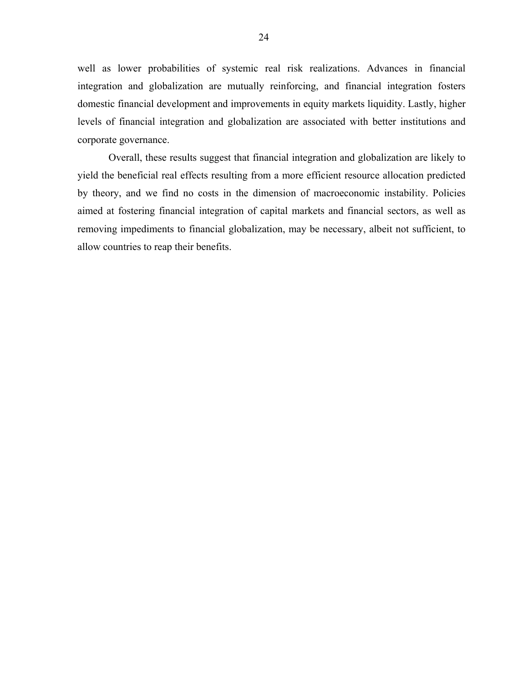well as lower probabilities of systemic real risk realizations. Advances in financial integration and globalization are mutually reinforcing, and financial integration fosters domestic financial development and improvements in equity markets liquidity. Lastly, higher levels of financial integration and globalization are associated with better institutions and corporate governance.

Overall, these results suggest that financial integration and globalization are likely to yield the beneficial real effects resulting from a more efficient resource allocation predicted by theory, and we find no costs in the dimension of macroeconomic instability. Policies aimed at fostering financial integration of capital markets and financial sectors, as well as removing impediments to financial globalization, may be necessary, albeit not sufficient, to allow countries to reap their benefits.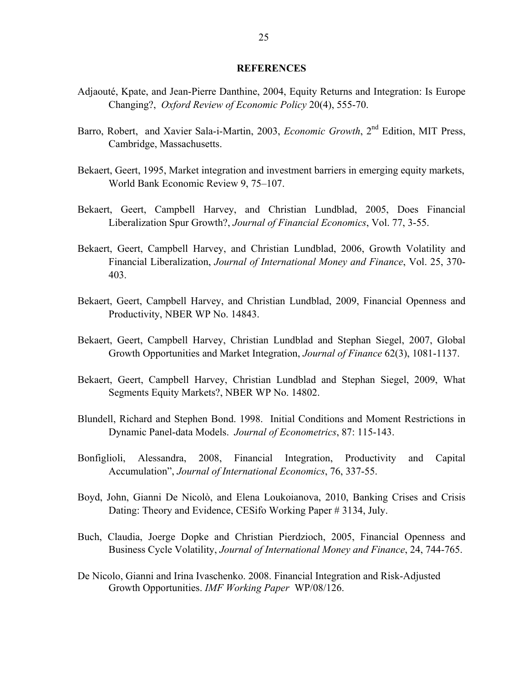# **REFERENCES**

- Adjaouté, Kpate, and Jean-Pierre Danthine, 2004, Equity Returns and Integration: Is Europe Changing?, *Oxford Review of Economic Policy* 20(4), 555-70.
- Barro, Robert, and Xavier Sala-i-Martin, 2003, *Economic Growth*, 2nd Edition, MIT Press, Cambridge, Massachusetts.
- Bekaert, Geert, 1995, Market integration and investment barriers in emerging equity markets, World Bank Economic Review 9, 75–107.
- Bekaert, Geert, Campbell Harvey, and Christian Lundblad, 2005, Does Financial Liberalization Spur Growth?, *Journal of Financial Economics*, Vol. 77, 3-55.
- Bekaert, Geert, Campbell Harvey, and Christian Lundblad, 2006, Growth Volatility and Financial Liberalization, *Journal of International Money and Finance*, Vol. 25, 370- 403.
- Bekaert, Geert, Campbell Harvey, and Christian Lundblad, 2009, Financial Openness and Productivity, NBER WP No. 14843.
- Bekaert, Geert, Campbell Harvey, Christian Lundblad and Stephan Siegel, 2007, Global Growth Opportunities and Market Integration, *Journal of Finance* 62(3), 1081-1137.
- Bekaert, Geert, Campbell Harvey, Christian Lundblad and Stephan Siegel, 2009, What Segments Equity Markets?, NBER WP No. 14802.
- Blundell, Richard and Stephen Bond. 1998. Initial Conditions and Moment Restrictions in Dynamic Panel-data Models. *Journal of Econometrics*, 87: 115-143.
- Bonfiglioli, Alessandra, 2008, Financial Integration, Productivity and Capital Accumulation", *Journal of International Economics*, 76, 337-55.
- Boyd, John, Gianni De Nicolò, and Elena Loukoianova, 2010, Banking Crises and Crisis Dating: Theory and Evidence, CESifo Working Paper # 3134, July.
- Buch, Claudia, Joerge Dopke and Christian Pierdzioch, 2005, Financial Openness and Business Cycle Volatility, *Journal of International Money and Finance*, 24, 744-765.
- De Nicolo, Gianni and Irina Ivaschenko. 2008. Financial Integration and Risk-Adjusted Growth Opportunities. *IMF Working Paper* WP/08/126.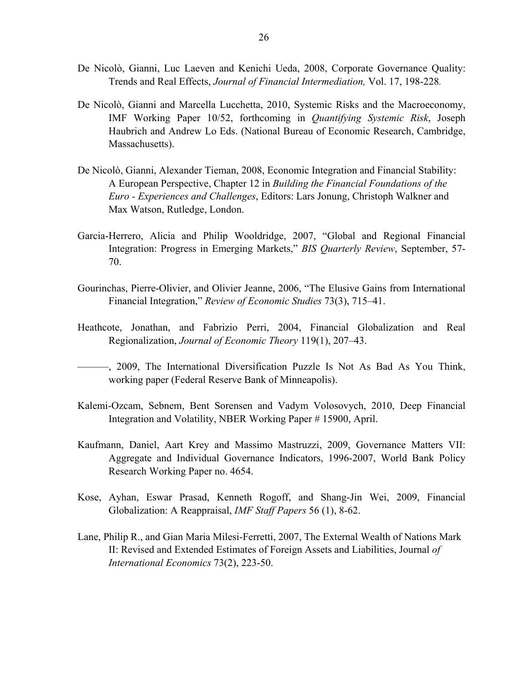- De Nicolò, Gianni, Luc Laeven and Kenichi Ueda, 2008, Corporate Governance Quality: Trends and Real Effects, *Journal of Financial Intermediation,* Vol. 17, 198-228*.*
- De Nicolò, Gianni and Marcella Lucchetta, 2010, Systemic Risks and the Macroeconomy, IMF Working Paper 10/52, forthcoming in *Quantifying Systemic Risk*, Joseph Haubrich and Andrew Lo Eds. (National Bureau of Economic Research, Cambridge, Massachusetts).
- De Nicolò, Gianni, Alexander Tieman, 2008, Economic Integration and Financial Stability: A European Perspective, Chapter 12 in *Building the Financial Foundations of the Euro - Experiences and Challenges*, Editors: Lars Jonung, Christoph Walkner and Max Watson, Rutledge, London.
- Garcia-Herrero, Alicia and Philip Wooldridge, 2007, "Global and Regional Financial Integration: Progress in Emerging Markets," *BIS Quarterly Review*, September, 57- 70.
- Gourinchas, Pierre-Olivier, and Olivier Jeanne, 2006, "The Elusive Gains from International Financial Integration," *Review of Economic Studies* 73(3), 715–41.
- Heathcote, Jonathan, and Fabrizio Perri, 2004, Financial Globalization and Real Regionalization, *Journal of Economic Theory* 119(1), 207–43.
- ———, 2009, The International Diversification Puzzle Is Not As Bad As You Think, working paper (Federal Reserve Bank of Minneapolis).
- Kalemi-Ozcam, Sebnem, Bent Sorensen and Vadym Volosovych, 2010, Deep Financial Integration and Volatility, NBER Working Paper # 15900, April.
- Kaufmann, Daniel, Aart Krey and Massimo Mastruzzi, 2009, Governance Matters VII: Aggregate and Individual Governance Indicators, 1996-2007, World Bank Policy Research Working Paper no. 4654.
- Kose, Ayhan, Eswar Prasad, Kenneth Rogoff, and Shang-Jin Wei, 2009, Financial Globalization: A Reappraisal, *IMF Staff Papers* 56 (1), 8-62.
- Lane, Philip R., and Gian Maria Milesi-Ferretti, 2007, The External Wealth of Nations Mark II: Revised and Extended Estimates of Foreign Assets and Liabilities, Journal *of International Economics* 73(2), 223-50.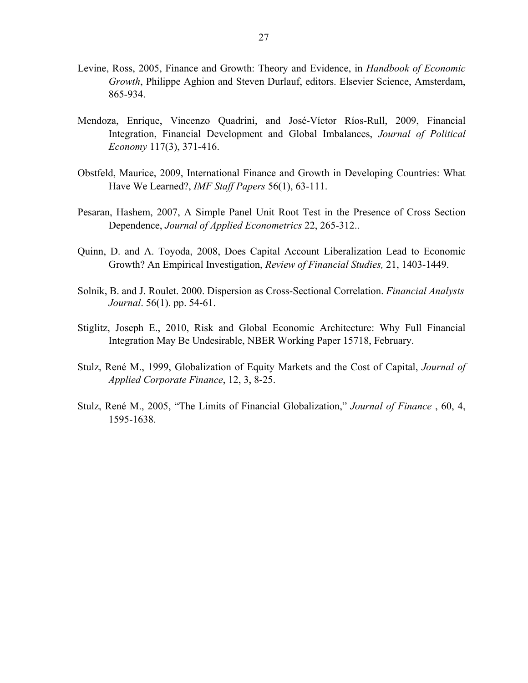- Levine, Ross, 2005, Finance and Growth: Theory and Evidence, in *Handbook of Economic Growth*, Philippe Aghion and Steven Durlauf, editors. Elsevier Science, Amsterdam, 865-934.
- Mendoza, Enrique, Vincenzo Quadrini, and José-Víctor Ríos-Rull, 2009, Financial Integration, Financial Development and Global Imbalances, *Journal of Political Economy* 117(3), 371-416.
- Obstfeld, Maurice, 2009, International Finance and Growth in Developing Countries: What Have We Learned?, *IMF Staff Papers* 56(1), 63-111.
- Pesaran, Hashem, 2007, A Simple Panel Unit Root Test in the Presence of Cross Section Dependence, *Journal of Applied Econometrics* 22, 265-312..
- Quinn, D. and A. Toyoda, 2008, Does Capital Account Liberalization Lead to Economic Growth? An Empirical Investigation, *Review of Financial Studies,* 21, 1403-1449.
- Solnik, B. and J. Roulet. 2000. Dispersion as Cross-Sectional Correlation. *Financial Analysts Journal*. 56(1). pp. 54-61.
- Stiglitz, Joseph E., 2010, Risk and Global Economic Architecture: Why Full Financial Integration May Be Undesirable, NBER Working Paper 15718, February.
- Stulz, René M., 1999, Globalization of Equity Markets and the Cost of Capital, *Journal of Applied Corporate Finance*, 12, 3, 8-25.
- Stulz, René M., 2005, "The Limits of Financial Globalization," *Journal of Finance* , 60, 4, 1595-1638.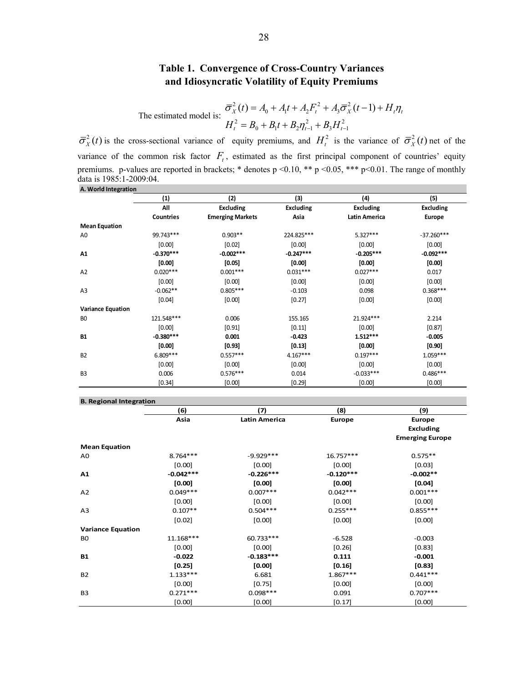# **Table 1. Convergence of Cross-Country Variances and Idiosyncratic Volatility of Equity Premiums**

The estimated model is: 
$$
\overline{\sigma}_X^2(t) = A_0 + A_1 t + A_2 F_t^2 + A_3 \overline{\sigma}_X^2(t-1) + H_t \eta_t
$$

$$
H_t^2 = B_0 + B_1 t + B_2 \eta_{t-1}^2 + B_3 H_{t-1}^2
$$

 $\overline{\sigma}_X^2(t)$  is the cross-sectional variance of equity premiums, and  $H_t^2$  is the variance of  $\overline{\sigma}_X^2(t)$  net of the variance of the common risk factor  $F_t$ , estimated as the first principal component of countries' equity premiums. p-values are reported in brackets; \* denotes p <0.10, \*\* p <0.05, \*\*\* p<0.01. The range of monthly data is 1985:1-2009:04. **A. World Integration**

| A. WONU MICHANDII        |                  |                         |                  |                      |                  |
|--------------------------|------------------|-------------------------|------------------|----------------------|------------------|
|                          | (1)              | (2)                     | (3)              | (4)                  | (5)              |
|                          | All              | <b>Excluding</b>        | <b>Excluding</b> | <b>Excluding</b>     | <b>Excluding</b> |
|                          | <b>Countries</b> | <b>Emerging Markets</b> | Asia             | <b>Latin America</b> | <b>Europe</b>    |
| <b>Mean Equation</b>     |                  |                         |                  |                      |                  |
| A0                       | 99.743***        | $0.903**$               | 224.825***       | $5.327***$           | $-37.260***$     |
|                          | [0.00]           | [0.02]                  | [0.00]           | [0.00]               | [0.00]           |
| A1                       | $-0.370***$      | $-0.002***$             | $-0.247***$      | $-0.205***$          | $-0.092***$      |
|                          | [0.00]           | [0.05]                  | [0.00]           | [0.00]               | [0.00]           |
| A2                       | $0.020***$       | $0.001***$              | $0.031***$       | $0.027***$           | 0.017            |
|                          | [0.00]           | [0.00]                  | [0.00]           | [0.00]               | [0.00]           |
| A <sub>3</sub>           | $-0.062**$       | $0.805***$              | $-0.103$         | 0.098                | $0.368***$       |
|                          | [0.04]           | [0.00]                  | [0.27]           | [0.00]               | [0.00]           |
| <b>Variance Equation</b> |                  |                         |                  |                      |                  |
| B <sub>0</sub>           | 121.548***       | 0.006                   | 155.165          | 21.924***            | 2.214            |
|                          | [0.00]           | [0.91]                  | [0.11]           | [0.00]               | [0.87]           |
| <b>B1</b>                | $-0.380***$      | 0.001                   | $-0.423$         | $1.512***$           | $-0.005$         |
|                          | [0.00]           | [0.93]                  | [0.13]           | [0.00]               | [0.90]           |
| <b>B2</b>                | $6.809***$       | $0.557***$              | $4.167***$       | $0.197***$           | $1.059***$       |
|                          | [0.00]           | [0.00]                  | [0.00]           | [0.00]               | [0.00]           |
| B <sub>3</sub>           | 0.006            | $0.576***$              | 0.014            | $-0.033***$          | $0.486***$       |
|                          | [0.34]           | [0.00]                  | [0.29]           | [0.00]               | [0.00]           |

| <b>B. Regional Integration</b> |             |                      |               |                        |
|--------------------------------|-------------|----------------------|---------------|------------------------|
|                                | (6)         | (7)                  | (8)           | (9)                    |
|                                | Asia        | <b>Latin America</b> | <b>Europe</b> | <b>Europe</b>          |
|                                |             |                      |               | <b>Excluding</b>       |
|                                |             |                      |               | <b>Emerging Europe</b> |
| <b>Mean Equation</b>           |             |                      |               |                        |
| A0                             | $8.764***$  | $-9.929***$          | 16.757***     | $0.575**$              |
|                                | [0.00]      | [0.00]               | [0.00]        | [0.03]                 |
| A1                             | $-0.042***$ | $-0.226***$          | $-0.120***$   | $-0.002**$             |
|                                | [0.00]      | [0.00]               | [0.00]        | [0.04]                 |
| A2                             | $0.049***$  | $0.007***$           | $0.042***$    | $0.001***$             |
|                                | [0.00]      | [0.00]               | [0.00]        | $[0.00]$               |
| A3                             | $0.107**$   | $0.504***$           | $0.255***$    | $0.855***$             |
|                                | [0.02]      | [0.00]               | [0.00]        | $[0.00]$               |
| <b>Variance Equation</b>       |             |                      |               |                        |
| BO                             | 11.168***   | 60.733***            | $-6.528$      | $-0.003$               |
|                                | $[0.00]$    | [0.00]               | $[0.26]$      | [0.83]                 |
| <b>B1</b>                      | $-0.022$    | $-0.183***$          | 0.111         | $-0.001$               |
|                                | [0.25]      | [0.00]               | [0.16]        | [0.83]                 |
| <b>B2</b>                      | $1.133***$  | 6.681                | $1.867***$    | $0.441***$             |
|                                | [0.00]      | [0.75]               | [0.00]        | [0.00]                 |
| B <sub>3</sub>                 | $0.271***$  | $0.098***$           | 0.091         | $0.707***$             |
|                                | [0.00]      | [0.00]               | [0.17]        | [0.00]                 |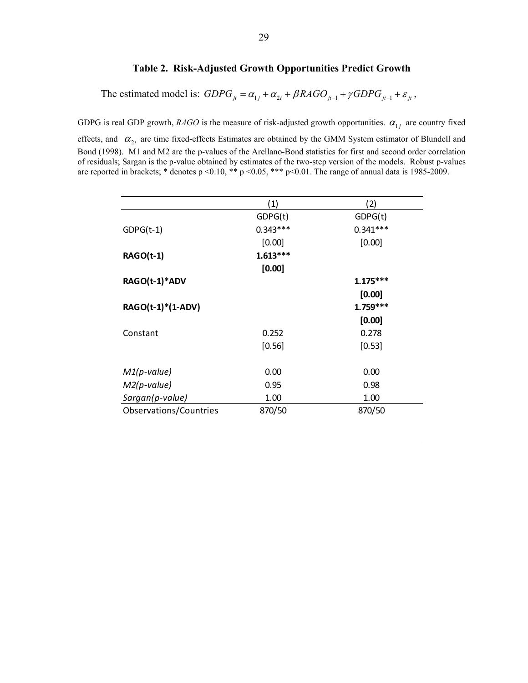# **Table 2. Risk-Adjusted Growth Opportunities Predict Growth**

The estimated model is:  $GDPG_{jt} = \alpha_{1j} + \alpha_{2t} + \beta RAGO_{jt-1} + \gamma GDPG_{jt-1} + \varepsilon_{jt}$ ,

GDPG is real GDP growth, *RAGO* is the measure of risk-adjusted growth opportunities.  $\alpha_{1i}$  are country fixed effects, and  $\alpha_{2t}$  are time fixed-effects Estimates are obtained by the GMM System estimator of Blundell and Bond (1998). M1 and M2 are the p-values of the Arellano-Bond statistics for first and second order correlation of residuals; Sargan is the p-value obtained by estimates of the two-step version of the models. Robust p-values are reported in brackets; \* denotes p <0.10, \*\* p <0.05, \*\*\* p<0.01. The range of annual data is 1985-2009.

|                        | $\left( 1\right)$ | (2)        |
|------------------------|-------------------|------------|
|                        | GDPG(t)           | GDPG(t)    |
| $GDPG(t-1)$            | $0.343***$        | $0.341***$ |
|                        | [0.00]            | [0.00]     |
| <b>RAGO(t-1)</b>       | $1.613***$        |            |
|                        | [0.00]            |            |
| RAGO(t-1)*ADV          |                   | $1.175***$ |
|                        |                   | [0.00]     |
| RAGO(t-1)*(1-ADV)      |                   | $1.759***$ |
|                        |                   | [0.00]     |
| Constant               | 0.252             | 0.278      |
|                        | [0.56]            | [0.53]     |
| $M1(p-value)$          | 0.00              | 0.00       |
| $M2(p-value)$          | 0.95              | 0.98       |
| Sargan(p-value)        | 1.00              | 1.00       |
| Observations/Countries | 870/50            | 870/50     |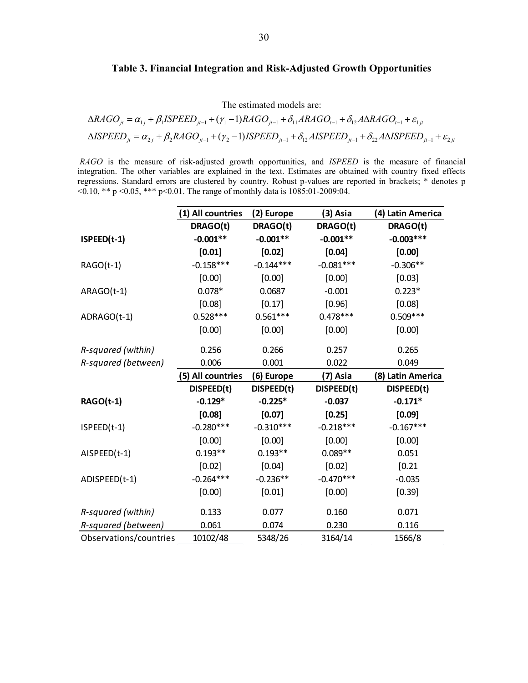# **Table 3. Financial Integration and Risk-Adjusted Growth Opportunities**

The estimated models are:

$$
\Delta RAGO_{ji} = \alpha_{1j} + \beta_1 ISPEED_{jt-1} + (\gamma_1 - 1)RAGO_{jt-1} + \delta_{11}ARAGO_{t-1} + \delta_{12}A\Delta RAGO_{t-1} + \varepsilon_{1jt}
$$
  

$$
\Delta ISPEED_{jt} = \alpha_{2j} + \beta_2 RAGO_{jt-1} + (\gamma_2 - 1)ISPEED_{jt-1} + \delta_{12}AISPEED_{jt-1} + \delta_{22}A\Delta ISPEED_{jt-1} + \varepsilon_{2jt}
$$

 *RAGO* is the measure of risk-adjusted growth opportunities, and *ISPEED* is the measure of financial integration. The other variables are explained in the text. Estimates are obtained with country fixed effects regressions. Standard errors are clustered by country. Robust p-values are reported in brackets; \* denotes p  $\sim 0.10$ , \*\* p  $\lt 0.05$ , \*\*\* p $\lt 0.01$ . The range of monthly data is 1085:01-2009:04.

|                        | (1) All countries | (2) Europe  | (3) Asia    | (4) Latin America |
|------------------------|-------------------|-------------|-------------|-------------------|
|                        | DRAGO(t)          | DRAGO(t)    | DRAGO(t)    | DRAGO(t)          |
| ISPEED(t-1)            | $-0.001**$        | $-0.001**$  | $-0.001**$  | $-0.003***$       |
|                        | [0.01]            | [0.02]      | [0.04]      | [0.00]            |
| $RAGO(t-1)$            | $-0.158***$       | $-0.144***$ | $-0.081***$ | $-0.306**$        |
|                        | [0.00]            | [0.00]      | [0.00]      | [0.03]            |
| ARAGO(t-1)             | $0.078*$          | 0.0687      | $-0.001$    | $0.223*$          |
|                        | [0.08]            | [0.17]      | [0.96]      | [0.08]            |
| ADRAGO(t-1)            | $0.528***$        | $0.561***$  | $0.478***$  | $0.509***$        |
|                        | [0.00]            | [0.00]      | [0.00]      | [0.00]            |
| R-squared (within)     | 0.256             | 0.266       | 0.257       | 0.265             |
| R-squared (between)    | 0.006             | 0.001       | 0.022       | 0.049             |
|                        | (5) All countries | (6) Europe  | (7) Asia    | (8) Latin America |
|                        | DISPEED(t)        | DISPEED(t)  | DISPEED(t)  | DISPEED(t)        |
| <b>RAGO(t-1)</b>       | $-0.129*$         | $-0.225*$   | $-0.037$    | $-0.171*$         |
|                        | [0.08]            | [0.07]      | [0.25]      | [0.09]            |
| $ISPEED(t-1)$          | $-0.280***$       | $-0.310***$ | $-0.218***$ | $-0.167***$       |
|                        | [0.00]            | [0.00]      | [0.00]      | [0.00]            |
| AISPEED(t-1)           | $0.193**$         | $0.193**$   | $0.089**$   | 0.051             |
|                        | [0.02]            | [0.04]      | [0.02]      | [0.21]            |
| ADISPEED(t-1)          | $-0.264***$       | $-0.236**$  | $-0.470***$ | $-0.035$          |
|                        | $[0.00]$          | [0.01]      | [0.00]      | [0.39]            |
| R-squared (within)     | 0.133             | 0.077       | 0.160       | 0.071             |
| R-squared (between)    | 0.061             | 0.074       | 0.230       | 0.116             |
| Observations/countries | 10102/48          | 5348/26     | 3164/14     | 1566/8            |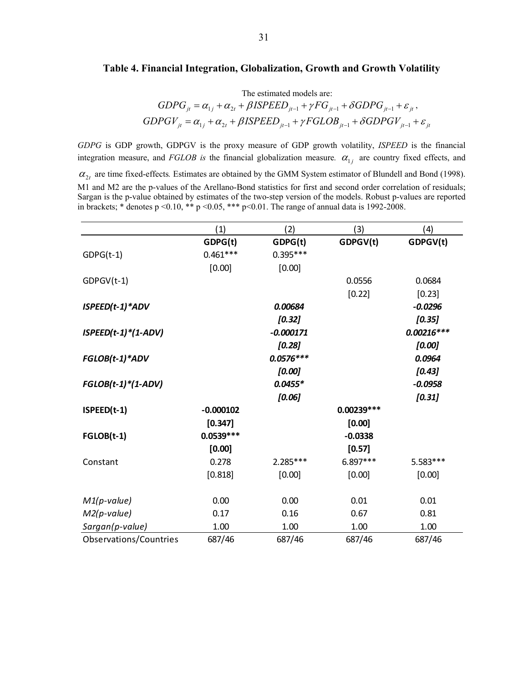# **Table 4. Financial Integration, Globalization, Growth and Growth Volatility**

The estimated models are:

$$
GDPG_{jt} = \alpha_{1j} + \alpha_{2t} + \beta I SPEED_{jt-1} + \gamma FG_{jt-1} + \delta GDPG_{jt-1} + \varepsilon_{jt},
$$
  
\n
$$
GDPGV_{jt} = \alpha_{1j} + \alpha_{2t} + \beta I SPEED_{jt-1} + \gamma FGLOB_{jt-1} + \delta GDPGV_{jt-1} + \varepsilon_{jt}
$$

*GDPG* is GDP growth, GDPGV is the proxy measure of GDP growth volatility, *ISPEED* is the financial integration measure, and *FGLOB is* the financial globalization measure.  $\alpha_{1j}$  are country fixed effects, and

 $\alpha_{2t}$  are time fixed-effects. Estimates are obtained by the GMM System estimator of Blundell and Bond (1998). M1 and M2 are the p-values of the Arellano-Bond statistics for first and second order correlation of residuals; Sargan is the p-value obtained by estimates of the two-step version of the models. Robust p-values are reported in brackets;  $*$  denotes p <0.10,  $**$  p <0.05,  $***$  p <0.01. The range of annual data is 1992-2008.

|                           | (1)         | (2)         | (3)         | (4)          |
|---------------------------|-------------|-------------|-------------|--------------|
|                           | GDPG(t)     | GDPG(t)     | GDPGV(t)    | GDPGV(t)     |
| $GDPG(t-1)$               | $0.461***$  | $0.395***$  |             |              |
|                           | [0.00]      | [0.00]      |             |              |
| $GDPGV(t-1)$              |             |             | 0.0556      | 0.0684       |
|                           |             |             | [0.22]      | [0.23]       |
| ISPEED(t-1)*ADV           |             | 0.00684     |             | $-0.0296$    |
|                           |             | $[0.32]$    |             | $[0.35]$     |
| $ISPEED(t-1)*(1-ADV)$     |             | $-0.000171$ |             | $0.00216***$ |
|                           |             | [0.28]      |             | [0.00]       |
| FGLOB(t-1)*ADV            |             | $0.0576***$ |             | 0.0964       |
|                           |             | [0.00]      |             | $[0.43]$     |
| <b>FGLOB(t-1)*(1-ADV)</b> |             | $0.0455*$   |             | $-0.0958$    |
|                           |             | [0.06]      |             | $[0.31]$     |
| $ISPEED(t-1)$             | $-0.000102$ |             | 0.00239 *** |              |
|                           | [0.347]     |             | [0.00]      |              |
| FGLOB(t-1)                | $0.0539***$ |             | $-0.0338$   |              |
|                           | [0.00]      |             | $[0.57]$    |              |
| Constant                  | 0.278       | 2.285***    | 6.897***    | 5.583 ***    |
|                           | [0.818]     | [0.00]      | [0.00]      | [0.00]       |
| $M1(p$ -value)            | 0.00        | 0.00        | 0.01        | 0.01         |
| $M2(p-value)$             | 0.17        | 0.16        | 0.67        | 0.81         |
| Sargan(p-value)           | 1.00        | 1.00        | 1.00        | 1.00         |
| Observations/Countries    | 687/46      | 687/46      | 687/46      | 687/46       |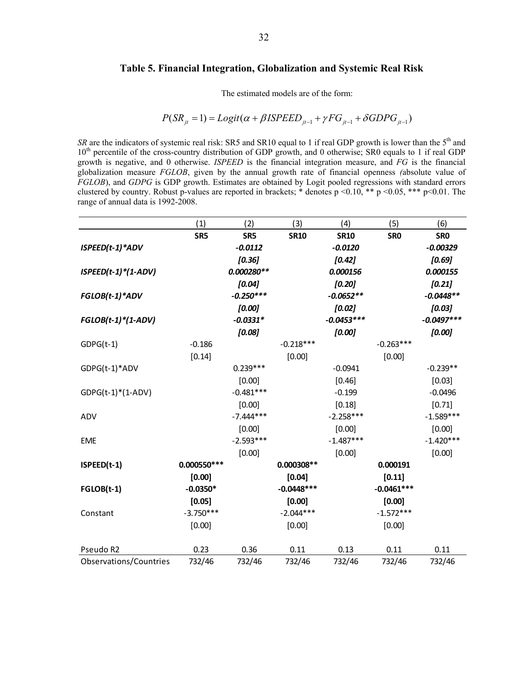# **Table 5. Financial Integration, Globalization and Systemic Real Risk**

The estimated models are of the form:

$$
P(SR_{jt} = 1) = Logit(\alpha + \beta I S P E E D_{jt-1} + \gamma FG_{jt-1} + \delta G D P G_{jt-1})
$$

*SR* are the indicators of systemic real risk: SR5 and SR10 equal to 1 if real GDP growth is lower than the 5<sup>th</sup> and 10<sup>th</sup> percentile of the cross-country distribution of GDP growth, and 0 otherwise; SR0 equals to 1 if real GDP growth is negative, and 0 otherwise. *ISPEED* is the financial integration measure, and *FG* is the financial globalization measure *FGLOB*, given by the annual growth rate of financial openness *(*absolute value of *FGLOB*), and *GDPG* is GDP growth. Estimates are obtained by Logit pooled regressions with standard errors clustered by country. Robust p-values are reported in brackets; \* denotes p <0.10, \*\* p <0.05, \*\*\* p<0.01. The range of annual data is 1992-2008.

|                           | (1)           | (2)          | (3)          | (4)          | (5)             | (6)             |
|---------------------------|---------------|--------------|--------------|--------------|-----------------|-----------------|
|                           | SR5           | SR5          | <b>SR10</b>  | <b>SR10</b>  | SR <sub>0</sub> | SR <sub>0</sub> |
| ISPEED(t-1)*ADV           |               | $-0.0112$    |              | $-0.0120$    |                 | $-0.00329$      |
|                           |               | $[0.36]$     |              | $[0.42]$     |                 | [0.69]          |
| $ISPEED(t-1)*(1-ADV)$     |               | $0.000280**$ |              | 0.000156     |                 | 0.000155        |
|                           |               | [0.04]       |              | [0.20]       |                 | [0.21]          |
| FGLOB(t-1)*ADV            |               | $-0.250***$  |              | $-0.0652**$  |                 | $-0.0448**$     |
|                           |               | [0.00]       |              | [0.02]       |                 | [0.03]          |
| <b>FGLOB(t-1)*(1-ADV)</b> |               | $-0.0331*$   |              | $-0.0453***$ |                 | $-0.0497***$    |
|                           |               | [0.08]       |              | [0.00]       |                 | [0.00]          |
| $GDPG(t-1)$               | $-0.186$      |              | $-0.218***$  |              | $-0.263***$     |                 |
|                           | [0.14]        |              | [0.00]       |              | [0.00]          |                 |
| GDPG(t-1)*ADV             |               | $0.239***$   |              | $-0.0941$    |                 | $-0.239**$      |
|                           |               | [0.00]       |              | [0.46]       |                 | [0.03]          |
| GDPG(t-1)*(1-ADV)         |               | $-0.481***$  |              | $-0.199$     |                 | $-0.0496$       |
|                           |               | [0.00]       |              | [0.18]       |                 | [0.71]          |
| ADV                       |               | $-7.444***$  |              | $-2.258***$  |                 | $-1.589***$     |
|                           |               | [0.00]       |              | [0.00]       |                 | [0.00]          |
| <b>EME</b>                |               | $-2.593***$  |              | $-1.487***$  |                 | $-1.420***$     |
|                           |               | [0.00]       |              | [0.00]       |                 | [0.00]          |
| ISPEED(t-1)               | $0.000550***$ |              | $0.000308**$ |              | 0.000191        |                 |
|                           | [0.00]        |              | [0.04]       |              | [0.11]          |                 |
| FGLOB(t-1)                | $-0.0350*$    |              | $-0.0448***$ |              | $-0.0461***$    |                 |
|                           | [0.05]        |              | [0.00]       |              | [0.00]          |                 |
| Constant                  | $-3.750***$   |              | $-2.044***$  |              | $-1.572***$     |                 |
|                           | [0.00]        |              | [0.00]       |              | [0.00]          |                 |
| Pseudo R2                 | 0.23          | 0.36         | 0.11         | 0.13         | 0.11            | 0.11            |
| Observations/Countries    | 732/46        | 732/46       | 732/46       | 732/46       | 732/46          | 732/46          |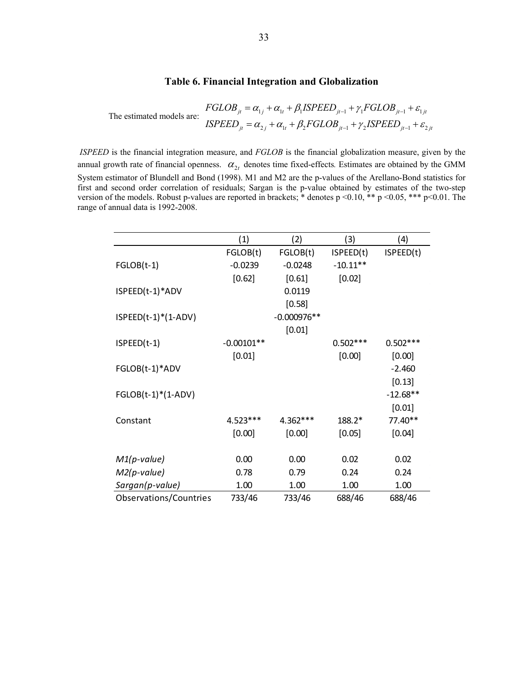# **Table 6. Financial Integration and Globalization**

The estimated models are:  
\n
$$
FGLOB_{jt} = \alpha_{1j} + \alpha_{1t} + \beta_1 ISPEED_{jt-1} + \gamma_1 FGLOB_{jt-1} + \varepsilon_{1jt}
$$
\n
$$
ISPEED_{jt} = \alpha_{2j} + \alpha_{1t} + \beta_2 FGLOB_{jt-1} + \gamma_2 ISPEED_{jt-1} + \varepsilon_{2jt}
$$

 *ISPEED* is the financial integration measure, and *FGLOB* is the financial globalization measure, given by the annual growth rate of financial openness.  $\alpha_{2t}$  denotes time fixed-effects. Estimates are obtained by the GMM System estimator of Blundell and Bond (1998). M1 and M2 are the p-values of the Arellano-Bond statistics for first and second order correlation of residuals; Sargan is the p-value obtained by estimates of the two-step version of the models. Robust p-values are reported in brackets; \* denotes p <0.10, \*\* p <0.05, \*\*\* p<0.01. The range of annual data is 1992-2008.

|                        | (1)          | (2)           | (3)        | (4)        |
|------------------------|--------------|---------------|------------|------------|
|                        | FGLOB(t)     | FGLOB(t)      | ISPEED(t)  | ISPEED(t)  |
| $FGLOB(t-1)$           | $-0.0239$    | $-0.0248$     | $-10.11**$ |            |
|                        | [0.62]       | [0.61]        | [0.02]     |            |
| ISPEED(t-1)*ADV        |              | 0.0119        |            |            |
|                        |              | [0.58]        |            |            |
| ISPEED(t-1)*(1-ADV)    |              | $-0.000976**$ |            |            |
|                        |              | [0.01]        |            |            |
| ISPEED(t-1)            | $-0.00101**$ |               | $0.502***$ | $0.502***$ |
|                        | [0.01]       |               | [0.00]     | [0.00]     |
| FGLOB(t-1)*ADV         |              |               |            | $-2.460$   |
|                        |              |               |            | [0.13]     |
| $FGLOB(t-1)*(1-ADV)$   |              |               |            | $-12.68**$ |
|                        |              |               |            | [0.01]     |
| Constant               | 4.523***     | 4.362***      | 188.2*     | 77.40**    |
|                        | [0.00]       | [0.00]        | [0.05]     | [0.04]     |
|                        |              |               |            |            |
| $M1(p-value)$          | 0.00         | 0.00          | 0.02       | 0.02       |
| $M2(p-value)$          | 0.78         | 0.79          | 0.24       | 0.24       |
| Sargan(p-value)        | 1.00         | 1.00          | 1.00       | 1.00       |
| Observations/Countries | 733/46       | 733/46        | 688/46     | 688/46     |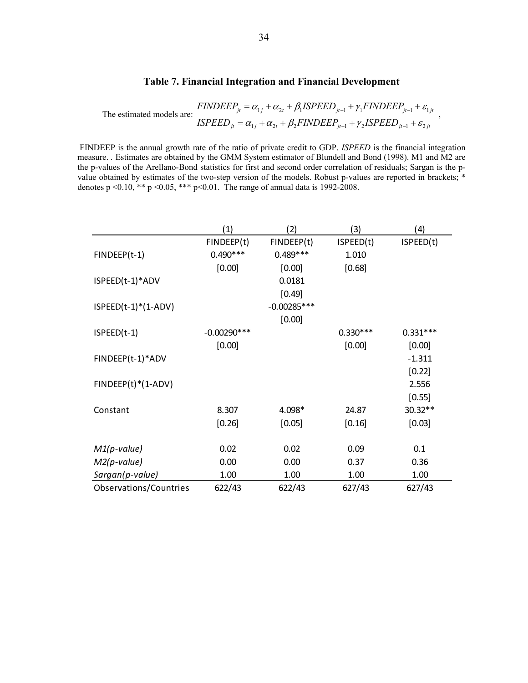# **Table 7. Financial Integration and Financial Development**

The estimated models are:<br>The estimated models are:  $ISPEED_{jt} = \alpha_{1j} + \alpha_{2t} + \beta_2 FINDEEP_{jt-1} + \gamma_2 ISPEED_{jt-1} + \varepsilon_{2jt}$  $FINDEEP_{it} = \alpha_{1i} + \alpha_{2i} + \beta_1 I SPEED_{it-1} + \gamma_1 FINDEEP_{it-1} + \varepsilon_{1it}$ 

 FINDEEP is the annual growth rate of the ratio of private credit to GDP. *ISPEED* is the financial integration measure. . Estimates are obtained by the GMM System estimator of Blundell and Bond (1998). M1 and M2 are the p-values of the Arellano-Bond statistics for first and second order correlation of residuals; Sargan is the pvalue obtained by estimates of the two-step version of the models. Robust p-values are reported in brackets; \* denotes p < 0.10, \*\* p < 0.05, \*\*\* p < 0.01. The range of annual data is 1992-2008.

|                        | (1)           | (2)           | (3)        | (4)        |
|------------------------|---------------|---------------|------------|------------|
|                        | FINDEEP(t)    | FINDEEP(t)    | ISPEED(t)  | ISPEED(t)  |
| FINDEEP(t-1)           | $0.490***$    | $0.489***$    | 1.010      |            |
|                        | [0.00]        | [0.00]        | [0.68]     |            |
| ISPEED(t-1)*ADV        |               | 0.0181        |            |            |
|                        |               | [0.49]        |            |            |
| ISPEED(t-1)*(1-ADV)    |               | $-0.00285***$ |            |            |
|                        |               | [0.00]        |            |            |
| $ISPEED(t-1)$          | $-0.00290***$ |               | $0.330***$ | $0.331***$ |
|                        | [0.00]        |               | [0.00]     | [0.00]     |
| FINDEEP(t-1)*ADV       |               |               |            | $-1.311$   |
|                        |               |               |            | [0.22]     |
| FINDEEP(t)*(1-ADV)     |               |               |            | 2.556      |
|                        |               |               |            | [0.55]     |
| Constant               | 8.307         | 4.098*        | 24.87      | 30.32**    |
|                        | [0.26]        | [0.05]        | [0.16]     | [0.03]     |
|                        |               |               |            |            |
| $M1(p-value)$          | 0.02          | 0.02          | 0.09       | 0.1        |
| $M2(p-value)$          | 0.00          | 0.00          | 0.37       | 0.36       |
| Sargan(p-value)        | 1.00          | 1.00          | 1.00       | 1.00       |
| Observations/Countries | 622/43        | 622/43        | 627/43     | 627/43     |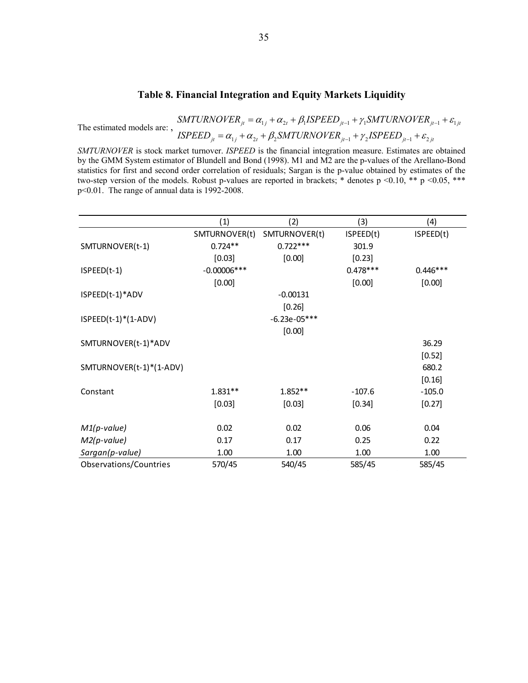# **Table 8. Financial Integration and Equity Markets Liquidity**

 $SMTURNOVER_{jt} = \alpha_{1j} + \alpha_{2i} + \beta_1 I SPEED_{jt-1} + \gamma_1 SMTURNOVER_{jt-1} + \varepsilon_{1jt}$ <br>The estimated models are:  $ISPEED_{ji} = \alpha_{1j} + \alpha_{2t} + \beta_2 SMTURNOVER_{ji-1} + \gamma_2 ISPEED_{ji-1} + \varepsilon_{2ji}$ 

*SMTURNOVER* is stock market turnover. *ISPEED* is the financial integration measure. Estimates are obtained by the GMM System estimator of Blundell and Bond (1998). M1 and M2 are the p-values of the Arellano-Bond statistics for first and second order correlation of residuals; Sargan is the p-value obtained by estimates of the two-step version of the models. Robust p-values are reported in brackets; \* denotes p <0.10, \*\* p <0.05, \*\*\* p<0.01. The range of annual data is 1992-2008.

|                         | (1)            | (2)            | (3)        | (4)        |
|-------------------------|----------------|----------------|------------|------------|
|                         | SMTURNOVER(t)  | SMTURNOVER(t)  | ISPEED(t)  | ISPEED(t)  |
| SMTURNOVER(t-1)         | $0.724**$      | $0.722***$     | 301.9      |            |
|                         | [0.03]         | [0.00]         | [0.23]     |            |
| ISPEED(t-1)             | $-0.00006$ *** |                | $0.478***$ | $0.446***$ |
|                         | [0.00]         |                | [0.00]     | [0.00]     |
| ISPEED(t-1)*ADV         |                | $-0.00131$     |            |            |
|                         |                | [0.26]         |            |            |
| $ISPEED(t-1)*(1-ADV)$   |                | $-6.23e-05***$ |            |            |
|                         |                | [0.00]         |            |            |
| SMTURNOVER(t-1)*ADV     |                |                |            | 36.29      |
|                         |                |                |            | [0.52]     |
| SMTURNOVER(t-1)*(1-ADV) |                |                |            | 680.2      |
|                         |                |                |            | [0.16]     |
| Constant                | $1.831**$      | $1.852**$      | $-107.6$   | $-105.0$   |
|                         | [0.03]         | [0.03]         | [0.34]     | [0.27]     |
|                         |                |                |            |            |
| $M1(p-value)$           | 0.02           | 0.02           | 0.06       | 0.04       |
| $M2(p-value)$           | 0.17           | 0.17           | 0.25       | 0.22       |
| Sargan(p-value)         | 1.00           | 1.00           | 1.00       | 1.00       |
| Observations/Countries  | 570/45         | 540/45         | 585/45     | 585/45     |